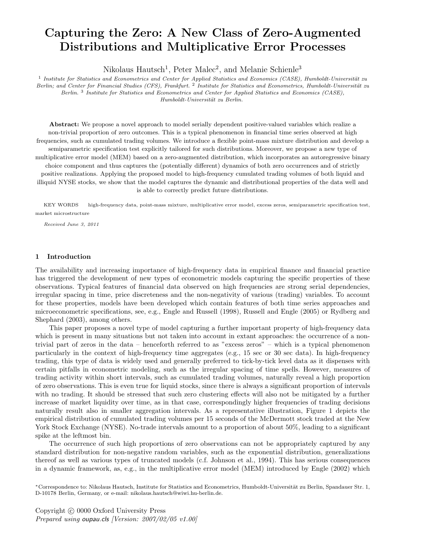# **Capturing the Zero: A New Class of Zero-Augmented Distributions and Multiplicative Error Processes**

Nikolaus Hautsch<sup>1</sup>, Peter Malec<sup>2</sup>, and Melanie Schienle<sup>3</sup>

<sup>1</sup> *Institute for Statistics and Econometrics and Center for Applied Statistics and Economics (CASE), Humboldt-Universität zu Berlin; and Center for Financial Studies (CFS), Frankfurt.* <sup>2</sup> *Institute for Statistics and Econometrics, Humboldt-Universität zu Berlin.* 3 *Institute for Statistics and Econometrics and Center for Applied Statistics and Economics (CASE), Humboldt-Universit¨at zu Berlin.*

**Abstract:** We propose a novel approach to model serially dependent positive-valued variables which realize a non-trivial proportion of zero outcomes. This is a typical phenomenon in financial time series observed at high frequencies, such as cumulated trading volumes. We introduce a flexible point-mass mixture distribution and develop a semiparametric specification test explicitly tailored for such distributions. Moreover, we propose a new type of multiplicative error model (MEM) based on a zero-augmented distribution, which incorporates an autoregressive binary choice component and thus captures the (potentially different) dynamics of both zero occurrences and of strictly positive realizations. Applying the proposed model to high-frequency cumulated trading volumes of both liquid and illiquid NYSE stocks, we show that the model captures the dynamic and distributional properties of the data well and is able to correctly predict future distributions.

KEY WORDS high-frequency data, point-mass mixture, multiplicative error model, excess zeros, semiparametric specification test, market microstructure

*Received June 3, 2011*

# **1 Introduction**

The availability and increasing importance of high-frequency data in empirical finance and financial practice has triggered the development of new types of econometric models capturing the specific properties of these observations. Typical features of financial data observed on high frequencies are strong serial dependencies, irregular spacing in time, price discreteness and the non-negativity of various (trading) variables. To account for these properties, models have been developed which contain features of both time series approaches and microeconometric specifications, see, e.g., Engle and Russell (1998), Russell and Engle (2005) or Rydberg and Shephard (2003), among others.

This paper proposes a novel type of model capturing a further important property of high-frequency data which is present in many situations but not taken into account in extant approaches: the occurrence of a nontrivial part of zeros in the data – henceforth referred to as "excess zeros" – which is a typical phenomenon particularly in the context of high-frequency time aggregates (e.g., 15 sec or 30 sec data). In high-frequency trading, this type of data is widely used and generally preferred to tick-by-tick level data as it dispenses with certain pitfalls in econometric modeling, such as the irregular spacing of time spells. However, measures of trading activity within short intervals, such as cumulated trading volumes, naturally reveal a high proportion of zero observations. This is even true for liquid stocks, since there is always a significant proportion of intervals with no trading. It should be stressed that such zero clustering effects will also not be mitigated by a further increase of market liquidity over time, as in that case, correspondingly higher frequencies of trading decisions naturally result also in smaller aggregation intervals. As a representative illustration, Figure 1 depicts the empirical distribution of cumulated trading volumes per 15 seconds of the McDermott stock traded at the New York Stock Exchange (NYSE). No-trade intervals amount to a proportion of about 50%, leading to a significant spike at the leftmost bin.

The occurrence of such high proportions of zero observations can not be appropriately captured by any standard distribution for non-negative random variables, such as the exponential distribution, generalizations thereof as well as various types of truncated models (c.f. Johnson et al., 1994). This has serious consequences in a dynamic framework, as, e.g., in the multiplicative error model (MEM) introduced by Engle (2002) which

\*Correspondence to: Nikolaus Hautsch, Institute for Statistics and Econometrics, Humboldt-Universität zu Berlin, Spandauer Str. 1, D-10178 Berlin, Germany, or e-mail: nikolaus.hautsch@wiwi.hu-berlin.de.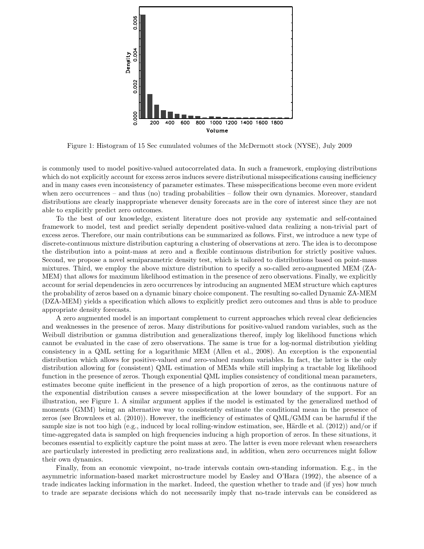

Figure 1: Histogram of 15 Sec cumulated volumes of the McDermott stock (NYSE), July 2009

is commonly used to model positive-valued autocorrelated data. In such a framework, employing distributions which do not explicitly account for excess zeros induces severe distributional misspecifications causing inefficiency and in many cases even inconsistency of parameter estimates. These misspecifications become even more evident when zero occurrences – and thus (no) trading probabilities – follow their own dynamics. Moreover, standard distributions are clearly inappropriate whenever density forecasts are in the core of interest since they are not able to explicitly predict zero outcomes.

To the best of our knowledge, existent literature does not provide any systematic and self-contained framework to model, test and predict serially dependent positive-valued data realizing a non-trivial part of excess zeros. Therefore, our main contributions can be summarized as follows. First, we introduce a new type of discrete-continuous mixture distribution capturing a clustering of observations at zero. The idea is to decompose the distribution into a point-mass at zero and a flexible continuous distribution for strictly positive values. Second, we propose a novel semiparametric density test, which is tailored to distributions based on point-mass mixtures. Third, we employ the above mixture distribution to specify a so-called zero-augmented MEM (ZA-MEM) that allows for maximum likelihood estimation in the presence of zero observations. Finally, we explicitly account for serial dependencies in zero occurrences by introducing an augmented MEM structure which captures the probability of zeros based on a dynamic binary choice component. The resulting so-called Dynamic ZA-MEM (DZA-MEM) yields a specification which allows to explicitly predict zero outcomes and thus is able to produce appropriate density forecasts.

A zero augmented model is an important complement to current approaches which reveal clear deficiencies and weaknesses in the presence of zeros. Many distributions for positive-valued random variables, such as the Weibull distribution or gamma distribution and generalizations thereof, imply log likelihood functions which cannot be evaluated in the case of zero observations. The same is true for a log-normal distribution yielding consistency in a QML setting for a logarithmic MEM (Allen et al., 2008). An exception is the exponential distribution which allows for positive-valued *and* zero-valued random variables. In fact, the latter is the only distribution allowing for (consistent) QML estimation of MEMs while still implying a tractable log likelihood function in the presence of zeros. Though exponential QML implies consistency of conditional mean parameters, estimates become quite inefficient in the presence of a high proportion of zeros, as the continuous nature of the exponential distribution causes a severe misspecification at the lower boundary of the support. For an illustration, see Figure 1. A similar argument applies if the model is estimated by the generalized method of moments (GMM) being an alternative way to consistently estimate the conditional mean in the presence of zeros (see Brownlees et al. (2010)). However, the inefficiency of estimates of QML/GMM can be harmful if the sample size is not too high (e.g., induced by local rolling-window estimation, see, Härdle et al.  $(2012)$ ) and/or if time-aggregated data is sampled on high frequencies inducing a high proportion of zeros. In these situations, it becomes essential to explicitly capture the point mass at zero. The latter is even more relevant when researchers are particularly interested in predicting zero realizations and, in addition, when zero occurrences might follow their own dynamics.

Finally, from an economic viewpoint, no-trade intervals contain own-standing information. E.g., in the asymmetric information-based market microstructure model by Easley and O'Hara (1992), the absence of a trade indicates lacking information in the market. Indeed, the question whether to trade and (if yes) how much to trade are separate decisions which do not necessarily imply that no-trade intervals can be considered as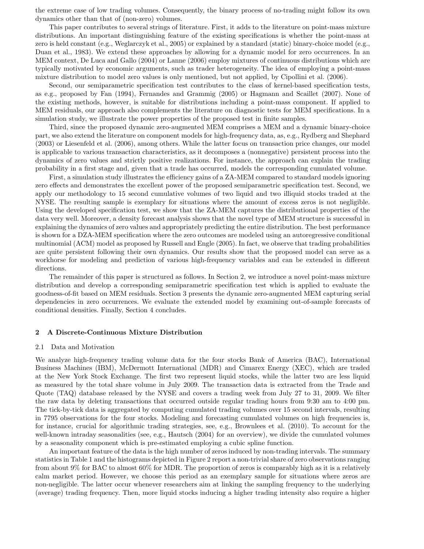the extreme case of low trading volumes. Consequently, the binary process of no-trading might follow its own dynamics other than that of (non-zero) volumes.

This paper contributes to several strings of literature. First, it adds to the literature on point-mass mixture distributions. An important distinguishing feature of the existing specifications is whether the point-mass at zero is held constant (e.g., Weglarczyk et al., 2005) or explained by a standard (static) binary-choice model (e.g., Duan et al., 1983). We extend these approaches by allowing for a dynamic model for zero occurrences. In an MEM context, De Luca and Gallo (2004) or Lanne (2006) employ mixtures of continuous distributions which are typically motivated by economic arguments, such as trader heterogeneity. The idea of employing a point-mass mixture distribution to model zero values is only mentioned, but not applied, by Cipollini et al. (2006).

Second, our semiparametric specification test contributes to the class of kernel-based specification tests, as e.g., proposed by Fan (1994), Fernandes and Grammig (2005) or Hagmann and Scaillet (2007). None of the existing methods, however, is suitable for distributions including a point-mass component. If applied to MEM residuals, our approach also complements the literature on diagnostic tests for MEM specifications. In a simulation study, we illustrate the power properties of the proposed test in finite samples.

Third, since the proposed dynamic zero-augmented MEM comprises a MEM and a dynamic binary-choice part, we also extend the literature on component models for high-frequency data, as, e.g., Rydberg and Shephard (2003) or Liesenfeld et al. (2006), among others. While the latter focus on transaction price changes, our model is applicable to various transaction characteristics, as it decomposes a (nonnegative) persistent process into the dynamics of zero values and strictly positive realizations. For instance, the approach can explain the trading probability in a first stage and, given that a trade has occurred, models the corresponding cumulated volume.

First, a simulation study illustrates the efficiency gains of a ZA-MEM compared to standard models ignoring zero effects and demonstrates the excellent power of the proposed semiparametric specification test. Second, we apply our methodology to 15 second cumulative volumes of two liquid and two illiquid stocks traded at the NYSE. The resulting sample is exemplary for situations where the amount of excess zeros is not negligible. Using the developed specification test, we show that the ZA-MEM captures the distributional properties of the data very well. Moreover, a density forecast analysis shows that the novel type of MEM structure is successful in explaining the dynamics of zero values and appropriately predicting the entire distribution. The best performance is shown for a DZA-MEM specification where the zero outcomes are modeled using an autoregressive conditional multinomial (ACM) model as proposed by Russell and Engle (2005). In fact, we observe that trading probabilities are quite persistent following their own dynamics. Our results show that the proposed model can serve as a workhorse for modeling and prediction of various high-frequency variables and can be extended in different directions.

The remainder of this paper is structured as follows. In Section 2, we introduce a novel point-mass mixture distribution and develop a corresponding semiparametric specification test which is applied to evaluate the goodness-of-fit based on MEM residuals. Section 3 presents the dynamic zero-augmented MEM capturing serial dependencies in zero occurrences. We evaluate the extended model by examining out-of-sample forecasts of conditional densities. Finally, Section 4 concludes.

# **2 A Discrete-Continuous Mixture Distribution**

#### 2.1 Data and Motivation

We analyze high-frequency trading volume data for the four stocks Bank of America (BAC), International Business Machines (IBM), McDermott International (MDR) and Cimarex Energy (XEC), which are traded at the New York Stock Exchange. The first two represent liquid stocks, while the latter two are less liquid as measured by the total share volume in July 2009. The transaction data is extracted from the Trade and Quote (TAQ) database released by the NYSE and covers a trading week from July 27 to 31, 2009. We filter the raw data by deleting transactions that occurred outside regular trading hours from 9:30 am to 4:00 pm. The tick-by-tick data is aggregated by computing cumulated trading volumes over 15 second intervals, resulting in 7795 observations for the four stocks. Modeling and forecasting cumulated volumes on high frequencies is, for instance, crucial for algorithmic trading strategies, see, e.g., Brownlees et al. (2010). To account for the well-known intraday seasonalities (see, e.g., Hautsch (2004) for an overview), we divide the cumulated volumes by a seasonality component which is pre-estimated employing a cubic spline function.

An important feature of the data is the high number of zeros induced by non-trading intervals. The summary statistics in Table 1 and the histograms depicted in Figure 2 report a non-trivial share of zero observations ranging from about 9% for BAC to almost 60% for MDR. The proportion of zeros is comparably high as it is a relatively calm market period. However, we choose this period as an exemplary sample for situations where zeros are non-negligible. The latter occur whenever researchers aim at linking the sampling frequency to the underlying (average) trading frequency. Then, more liquid stocks inducing a higher trading intensity also require a higher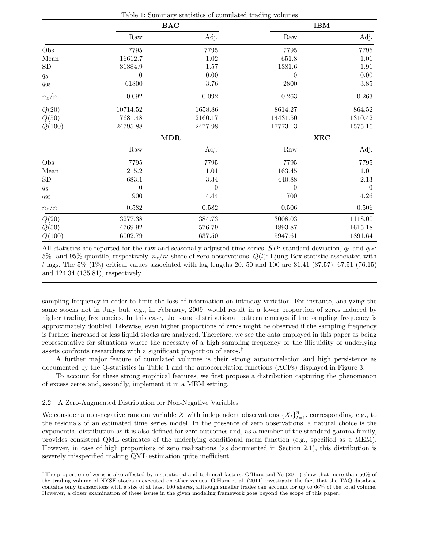|              |                  | <b>BAC</b>       | <b>IBM</b>       |             |
|--------------|------------------|------------------|------------------|-------------|
|              | Raw              | Adj.             | Raw              | Adj.        |
| Obs          | 7795             | 7795             | 7795             | 7795        |
| Mean         | 16612.7          | $1.02\,$         | 651.8            | $1.01\,$    |
| ${\rm SD}$   | 31384.9          | $1.57\,$         | 1381.6           | $1.91\,$    |
| $q_{\rm 5}$  | $\boldsymbol{0}$ | 0.00             | $\boldsymbol{0}$ | 0.00        |
| $q_{\rm 95}$ | 61800            | 3.76             | 2800             | $3.85\,$    |
| $n_z/n$      | 0.092            | $\,0.092\,$      | 0.263            | $\,0.263\,$ |
| Q(20)        | 10714.52         | 1658.86          | 8614.27          | 864.52      |
| Q(50)        | 17681.48         | 2160.17          | 14431.50         | 1310.42     |
| Q(100)       | 24795.88         | 2477.98          | 17773.13         | 1575.16     |
|              |                  | $\bf MDR$        | XEC              |             |
|              | Raw              | Adj.             | Raw              | Adj.        |
| Obs          | 7795             | 7795             | 7795             | 7795        |
| Mean         | $215.2\,$        | 1.01             | 163.45           | $1.01\,$    |
| ${\rm SD}$   | 683.1            | $3.34\,$         | 440.88           | $2.13\,$    |
| $q_5$        | $\boldsymbol{0}$ | $\boldsymbol{0}$ | $\theta$         | $\theta$    |
| $q_{\rm 95}$ | 900              | 4.44             | 700              | 4.26        |
| $n_z/n$      | 0.582            | 0.582            | $0.506\,$        | $0.506\,$   |
| Q(20)        | 3277.38          | 384.73           | 3008.03          | 1118.00     |
| Q(50)        | 4769.92          | 576.79           | 4893.87          | 1615.18     |
| Q(100)       | 6002.79          | 637.50           | 5947.61          | 1891.64     |

Table 1: Summary statistics of cumulated trading volumes

All statistics are reported for the raw and seasonally adjusted time series.  $SD$ : standard deviation,  $q_5$  and  $q_{95}$ : 5%- and 95%-quantile, respectively.  $n_z/n$ : share of zero observations.  $Q(l)$ : Ljung-Box statistic associated with l lags. The 5%  $(1\%)$  critical values associated with lag lengths 20, 50 and 100 are 31.41 (37.57), 67.51 (76.15) and 124.34 (135.81), respectively.

sampling frequency in order to limit the loss of information on intraday variation. For instance, analyzing the same stocks not in July but, e.g., in February, 2009, would result in a lower proportion of zeros induced by higher trading frequencies. In this case, the same distributional pattern emerges if the sampling frequency is approximately doubled. Likewise, even higher proportions of zeros might be observed if the sampling frequency is further increased or less liquid stocks are analyzed. Therefore, we see the data employed in this paper as being representative for situations where the necessity of a high sampling frequency or the illiquidity of underlying assets confronts researchers with a significant proportion of zeros.†

A further major feature of cumulated volumes is their strong autocorrelation and high persistence as documented by the Q-statistics in Table 1 and the autocorrelation functions (ACFs) displayed in Figure 3.

To account for these strong empirical features, we first propose a distribution capturing the phenomenon of excess zeros and, secondly, implement it in a MEM setting.

#### 2.2 A Zero-Augmented Distribution for Non-Negative Variables

We consider a non-negative random variable X with independent observations  $\{X_t\}_{t=1}^n$ , corresponding, e.g., to the residuals of an estimated time series model. In the presence of zero observations, a natural choice is the exponential distribution as it is also defined for zero outcomes and, as a member of the standard gamma family, provides consistent QML estimates of the underlying conditional mean function (e.g., specified as a MEM). However, in case of high proportions of zero realizations (as documented in Section 2.1), this distribution is severely misspecified making QML estimation quite inefficient.

<sup>†</sup>The proportion of zeros is also affected by institutional and technical factors. O'Hara and Ye (2011) show that more than 50% of the trading volume of NYSE stocks is executed on other venues. O'Hara et al. (2011) investigate the fact that the TAQ database contains only transactions with a size of at least 100 shares, although smaller trades can account for up to 66% of the total volume. However, a closer examination of these issues in the given modeling framework goes beyond the scope of this paper.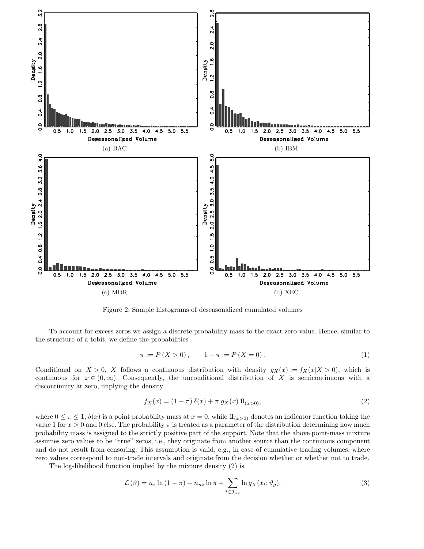

Figure 2: Sample histograms of deseasonalized cumulated volumes

To account for excess zeros we assign a discrete probability mass to the exact zero value. Hence, similar to the structure of a tobit, we define the probabilities

$$
\pi := P(X > 0), \qquad 1 - \pi := P(X = 0).
$$
\n(1)

Conditional on  $X > 0$ , X follows a continuous distribution with density  $g_X(x) := f_X(x|X > 0)$ , which is continuous for  $x \in (0, \infty)$ . Consequently, the unconditional distribution of X is semicontinuous with a discontinuity at zero, implying the density

$$
f_X(x) = (1 - \pi) \,\delta(x) + \pi \, g_X(x) \, \Pi_{(x > 0)},\tag{2}
$$

where  $0 \leq \pi \leq 1$ ,  $\delta(x)$  is a point probability mass at  $x = 0$ , while  $\text{II}_{(x>0)}$  denotes an indicator function taking the value 1 for  $x > 0$  and 0 else. The probability  $\pi$  is treated as a parameter of the distribution determining how much probability mass is assigned to the strictly positive part of the support. Note that the above point-mass mixture assumes zero values to be "true" zeros, i.e., they originate from another source than the continuous component and do not result from censoring. This assumption is valid, e.g., in case of cumulative trading volumes, where zero values correspond to non-trade intervals and originate from the decision whether or whether not to trade.

The log-likelihood function implied by the mixture density (2) is

$$
\mathcal{L}(\vartheta) = n_z \ln(1 - \pi) + n_{nz} \ln \pi + \sum_{t \in \mathfrak{I}_{nz}} \ln g_X(x_t; \vartheta_g), \tag{3}
$$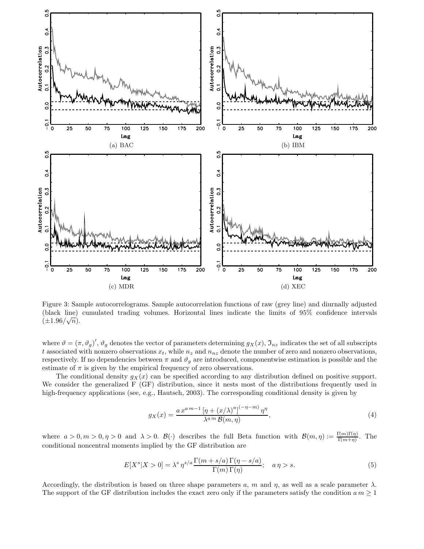

Figure 3: Sample autocorrelograms. Sample autocorrelation functions of raw (grey line) and diurnally adjusted (black line) cumulated trading volumes. Horizontal lines indicate the limits of 95% confidence intervals (black line)<br>( $\pm 1.96/\sqrt{n}$ ).

where  $\vartheta = (\pi, \vartheta_g)'$ ,  $\vartheta_g$  denotes the vector of parameters determining  $g_X(x)$ ,  $\mathfrak{I}_{nz}$  indicates the set of all subscripts t associated with nonzero observations  $x_t$ , while  $n_z$  and  $n_{nz}$  denote the number of zero and nonzero observations, respectively. If no dependencies between  $\pi$  and  $\vartheta_q$  are introduced, componentwise estimation is possible and the estimate of  $\pi$  is given by the empirical frequency of zero observations.

The conditional density  $g_X(x)$  can be specified according to any distribution defined on positive support. We consider the generalized F (GF) distribution, since it nests most of the distributions frequently used in high-frequency applications (see, e.g., Hautsch, 2003). The corresponding conditional density is given by

$$
g_X(x) = \frac{ax^{a\,m-1}\left[\eta + (x/\lambda)^a\right]^{(-\eta - m)}\eta^{\eta}}{\lambda^{a\,m}\,\mathcal{B}(m,\eta)},\tag{4}
$$

where  $a > 0, m > 0, \eta > 0$  and  $\lambda > 0$ .  $\mathcal{B}(\cdot)$  describes the full Beta function with  $\mathcal{B}(m, \eta) := \frac{\Gamma(m)\Gamma(\eta)}{\Gamma(m+\eta)}$ . The conditional noncentral moments implied by the GF distribution are

$$
E[X^s|X>0] = \lambda^s \eta^{s/a} \frac{\Gamma(m+s/a)\Gamma(\eta-s/a)}{\Gamma(m)\Gamma(\eta)}; \quad a\eta>s. \tag{5}
$$

Accordingly, the distribution is based on three shape parameters a, m and  $\eta$ , as well as a scale parameter  $\lambda$ . The support of the GF distribution includes the exact zero only if the parameters satisfy the condition  $a m \ge 1$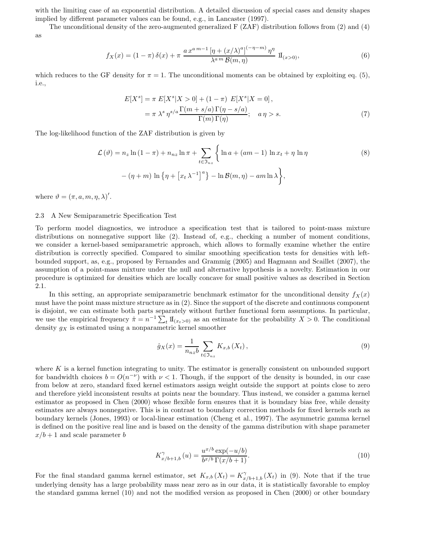with the limiting case of an exponential distribution. A detailed discussion of special cases and density shapes implied by different parameter values can be found, e.g., in Lancaster (1997).

The unconditional density of the zero-augmented generalized F (ZAF) distribution follows from (2) and (4) as

$$
f_X(x) = (1 - \pi) \,\delta(x) + \pi \, \frac{a \, x^{a \, m - 1} \left[ \eta + (x/\lambda)^a \right]^{(-\eta - m)} \eta^{\eta}}{\lambda^{a \, m} \, \mathcal{B}(m, \eta)} \, \mathrm{II}_{(x > 0)},\tag{6}
$$

which reduces to the GF density for  $\pi = 1$ . The unconditional moments can be obtained by exploiting eq. (5), i.e.,

$$
E[X^s] = \pi E[X^s | X > 0] + (1 - \pi) E[X^s | X = 0],
$$
  
=  $\pi \lambda^s \eta^{s/a} \frac{\Gamma(m + s/a) \Gamma(\eta - s/a)}{\Gamma(m) \Gamma(\eta)};$   $a \eta > s.$  (7)

The log-likelihood function of the ZAF distribution is given by

$$
\mathcal{L}(\vartheta) = n_z \ln(1 - \pi) + n_{nz} \ln \pi + \sum_{t \in \mathfrak{I}_{nz}} \left\{ \ln a + (am - 1) \ln x_t + \eta \ln \eta \right\}
$$
\n
$$
- (\eta + m) \ln \left\{ \eta + \left[ x_t \lambda^{-1} \right]^a \right\} - \ln \mathcal{B}(m, \eta) - am \ln \lambda \left\},\right\}
$$
\n(8)

where  $\vartheta = (\pi, a, m, \eta, \lambda)'.$ 

#### 2.3 A New Semiparametric Specification Test

To perform model diagnostics, we introduce a specification test that is tailored to point-mass mixture distributions on nonnegative support like (2). Instead of, e.g., checking a number of moment conditions, we consider a kernel-based semiparametric approach, which allows to formally examine whether the entire distribution is correctly specified. Compared to similar smoothing specification tests for densities with leftbounded support, as, e.g., proposed by Fernandes and Grammig (2005) and Hagmann and Scaillet (2007), the assumption of a point-mass mixture under the null and alternative hypothesis is a novelty. Estimation in our procedure is optimized for densities which are locally concave for small positive values as described in Section 2.1.

In this setting, an appropriate semiparametric benchmark estimator for the unconditional density  $f_X(x)$ must have the point mass mixture structure as in (2). Since the support of the discrete and continuous component is disjoint, we can estimate both parts separately without further functional form assumptions. In particular, we use the empirical frequency  $\hat{\pi} = n^{-1} \sum_{t} \prod_{(x_t > 0)}$  as an estimate for the probability  $X > 0$ . The conditional density  $g_X$  is estimated using a nonparametric kernel smoother

$$
\hat{g}_X(x) = \frac{1}{n_{nz}b} \sum_{t \in \Im_{nz}} K_{x,b}(X_t), \qquad (9)
$$

where  $K$  is a kernel function integrating to unity. The estimator is generally consistent on unbounded support for bandwidth choices  $b = O(n^{-\nu})$  with  $\nu < 1$ . Though, if the support of the density is bounded, in our case from below at zero, standard fixed kernel estimators assign weight outside the support at points close to zero and therefore yield inconsistent results at points near the boundary. Thus instead, we consider a gamma kernel estimator as proposed in Chen (2000) whose flexible form ensures that it is boundary bias free, while density estimates are always nonnegative. This is in contrast to boundary correction methods for fixed kernels such as boundary kernels (Jones, 1993) or local-linear estimation (Cheng et al., 1997). The asymmetric gamma kernel is defined on the positive real line and is based on the density of the gamma distribution with shape parameter  $x/b+1$  and scale parameter b

$$
K_{x/b+1,b}^{\gamma}(u) = \frac{u^{x/b} \exp(-u/b)}{b^{x/b} \Gamma(x/b+1)}.
$$
\n(10)

For the final standard gamma kernel estimator, set  $K_{x,b}(X_t) = K_{x/b+1,b}^{\gamma}(X_t)$  in (9). Note that if the true underlying density has a large probability mass near zero as in our data, it is statistically favorable to employ the standard gamma kernel (10) and not the modified version as proposed in Chen (2000) or other boundary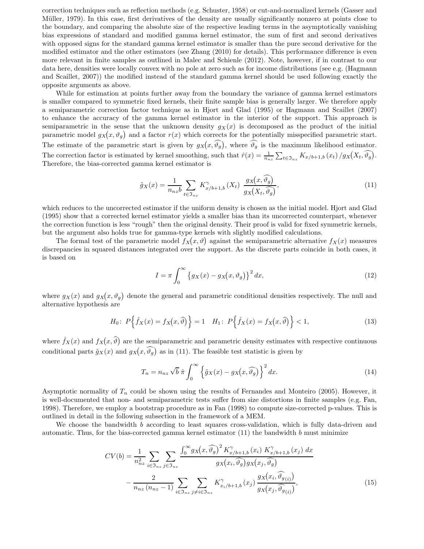correction techniques such as reflection methods (e.g. Schuster, 1958) or cut-and-normalized kernels (Gasser and Müller, 1979). In this case, first derivatives of the density are usually significantly nonzero at points close to the boundary, and comparing the absolute size of the respective leading terms in the asymptotically vanishing bias expressions of standard and modified gamma kernel estimator, the sum of first and second derivatives with opposed signs for the standard gamma kernel estimator is smaller than the pure second derivative for the modified estimator and the other estimators (see Zhang (2010) for details). This performance difference is even more relevant in finite samples as outlined in Malec and Schienle (2012). Note, however, if in contrast to our data here, densities were locally convex with no pole at zero such as for income distributions (see e.g. (Hagmann and Scaillet, 2007)) the modified instead of the standard gamma kernel should be used following exactly the opposite arguments as above.

While for estimation at points further away from the boundary the variance of gamma kernel estimators is smaller compared to symmetric fixed kernels, their finite sample bias is generally larger. We therefore apply a semiparametric correction factor technique as in Hjort and Glad (1995) or Hagmann and Scaillet (2007) to enhance the accuracy of the gamma kernel estimator in the interior of the support. This approach is semiparametric in the sense that the unknown density  $g_X(x)$  is decomposed as the product of the initial parametric model  $g_X(x, \vartheta_g)$  and a factor  $r(x)$  which corrects for the potentially misspecified parametric start. The estimate of the parametric start is given by  $g_X(x, \widehat{\theta_g})$ , where  $\widehat{\theta_g}$  is the maximum likelihood estimator. The correction factor is estimated by kernel smoothing, such that  $\hat{r}(x) = \frac{1}{n_{nz}} \sum_{t \in \mathfrak{I}_{nz}} K_{x/b+1,b}(x_t) / g_X(X_t, \widehat{\theta_g}).$ Therefore, the bias-corrected gamma kernel estimator is

$$
\tilde{g}_X(x) = \frac{1}{n_{nz}b} \sum_{t \in \mathfrak{I}_{nz}} K_{x/b+1,b}^{\gamma}(X_t) \frac{g_X(x, \widehat{\vartheta_g})}{g_X(X_t, \widehat{\vartheta_g})},\tag{11}
$$

which reduces to the uncorrected estimator if the uniform density is chosen as the initial model. Hjort and Glad (1995) show that a corrected kernel estimator yields a smaller bias than its uncorrected counterpart, whenever the correction function is less "rough" then the original density. Their proof is valid for fixed symmetric kernels, but the argument also holds true for gamma-type kernels with slightly modified calculations.

The formal test of the parametric model  $f_X(x, \theta)$  against the semiparametric alternative  $f_X(x)$  measures discrepancies in squared distances integrated over the support. As the discrete parts coincide in both cases, it is based on

$$
I = \pi \int_0^\infty \left\{ g_X(x) - g_X(x, \vartheta_g) \right\}^2 dx,\tag{12}
$$

where  $g_X(x)$  and  $g_X(x, \vartheta_g)$  denote the general and parametric conditional densities respectively. The null and alternative hypothesis are

$$
H_0: P\left\{\hat{f}_X(x) = f_X(x,\hat{\vartheta})\right\} = 1 \quad H_1: P\left\{\hat{f}_X(x) = f_X(x,\hat{\vartheta})\right\} < 1,\tag{13}
$$

where  $\hat{f}_X(x)$  and  $f_X(x, \hat{\theta})$  are the semiparametric and parametric density estimates with respective continuous conditional parts  $\tilde{g}_X(x)$  and  $g_X(x, \widehat{\theta_g})$  as in (11). The feasible test statistic is given by

$$
T_n = n_{nz} \sqrt{b} \hat{\pi} \int_0^\infty \left\{ \tilde{g}_X(x) - g_X(x, \widehat{\vartheta}_g) \right\}^2 dx.
$$
 (14)

Asymptotic normality of  $T_n$  could be shown using the results of Fernandes and Monteiro (2005). However, it is well-documented that non- and semiparametric tests suffer from size distortions in finite samples (e.g. Fan, 1998). Therefore, we employ a bootstrap procedure as in Fan (1998) to compute size-corrected p-values. This is outlined in detail in the following subsection in the framework of a MEM.

We choose the bandwidth b according to least squares cross-validation, which is fully data-driven and automatic. Thus, for the bias-corrected gamma kernel estimator  $(11)$  the bandwidth b must minimize

$$
CV(b) = \frac{1}{n_{nz}^2} \sum_{i \in \mathfrak{I}_{nz}} \sum_{j \in \mathfrak{I}_{nz}} \frac{\int_0^\infty g_X(x, \widehat{\vartheta}_g)^2 K_{x/b+1,b}^\gamma(x_i) K_{x/b+1,b}^\gamma(x_j) dx}{g_X(x_i, \widehat{\vartheta}_g) g_X(x_j, \widehat{\vartheta}_g)}
$$

$$
- \frac{2}{n_{nz}(n_{nz}-1)} \sum_{i \in \mathfrak{I}_{nz}} \sum_{j \neq i \in \mathfrak{I}_{nz}} K_{x_i/b+1,b}^\gamma(x_j) \frac{g_X(x_i, \widehat{\vartheta}_{g(i)})}{g_X(x_j, \widehat{\vartheta}_{g(i)})},
$$
(15)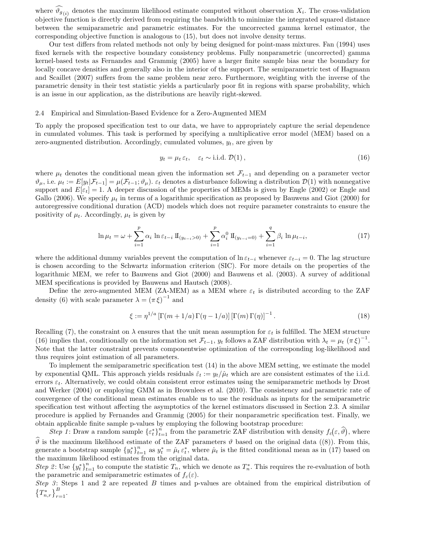where  $\vartheta_{g(i)}$  denotes the maximum likelihood estimate computed without observation  $X_i$ . The cross-validation objective function is directly derived from requiring the bandwidth to minimize the integrated squared distance between the semiparametric and parametric estimates. For the uncorrected gamma kernel estimator, the corresponding objective function is analogous to (15), but does not involve density terms.

Our test differs from related methods not only by being designed for point-mass mixtures. Fan (1994) uses fixed kernels with the respective boundary consistency problems. Fully nonparametric (uncorrected) gamma kernel-based tests as Fernandes and Grammig (2005) have a larger finite sample bias near the boundary for locally concave densities and generally also in the interior of the support. The semiparametric test of Hagmann and Scaillet (2007) suffers from the same problem near zero. Furthermore, weighting with the inverse of the parametric density in their test statistic yields a particularly poor fit in regions with sparse probability, which is an issue in our application, as the distributions are heavily right-skewed.

# 2.4 Empirical and Simulation-Based Evidence for a Zero-Augmented MEM

To apply the proposed specification test to our data, we have to appropriately capture the serial dependence in cumulated volumes. This task is performed by specifying a multiplicative error model (MEM) based on a zero-augmented distribution. Accordingly, cumulated volumes,  $y_t$ , are given by

$$
y_t = \mu_t \, \varepsilon_t, \quad \varepsilon_t \sim \text{i.i.d. } \mathcal{D}(1), \tag{16}
$$

where  $\mu_t$  denotes the conditional mean given the information set  $\mathcal{F}_{t-1}$  and depending on a parameter vector  $\vartheta_\mu$ , i.e.  $\mu_t := E[y_t|\mathcal{F}_{t-1}] = \mu(\mathcal{F}_{t-1};\vartheta_\mu)$ .  $\varepsilon_t$  denotes a disturbance following a distribution  $\mathcal{D}(1)$  with nonnegative support and  $E[\varepsilon_t] = 1$ . A deeper discussion of the properties of MEMs is given by Engle (2002) or Engle and Gallo (2006). We specify  $\mu_t$  in terms of a logarithmic specification as proposed by Bauwens and Giot (2000) for autoregressive conditional duration (ACD) models which does not require parameter constraints to ensure the positivity of  $\mu_t$ . Accordingly,  $\mu_t$  is given by

$$
\ln \mu_t = \omega + \sum_{i=1}^p \alpha_i \ln \varepsilon_{t-i} \, \mathbb{I}_{(y_{t-i} > 0)} + \sum_{i=1}^p \alpha_i^0 \, \mathbb{I}_{(y_{t-i} = 0)} + \sum_{i=1}^q \beta_i \, \ln \mu_{t-i}, \tag{17}
$$

where the additional dummy variables prevent the computation of  $\ln \varepsilon_{t-i}$  whenever  $\varepsilon_{t-i} = 0$ . The lag structure is chosen according to the Schwartz information criterion (SIC). For more details on the properties of the logarithmic MEM, we refer to Bauwens and Giot (2000) and Bauwens et al. (2003). A survey of additional MEM specifications is provided by Bauwens and Hautsch (2008).

Define the zero-augmented MEM (ZA-MEM) as a MEM where  $\varepsilon_t$  is distributed according to the ZAF density (6) with scale parameter  $\lambda = (\pi \xi)^{-1}$  and

$$
\xi := \eta^{1/a} \left[ \Gamma(m + 1/a) \Gamma(\eta - 1/a) \right] \left[ \Gamma(m) \Gamma(\eta) \right]^{-1}.
$$
 (18)

Recalling (7), the constraint on  $\lambda$  ensures that the unit mean assumption for  $\varepsilon_t$  is fulfilled. The MEM structure (16) implies that, conditionally on the information set  $\mathcal{F}_{t-1}$ ,  $y_t$  follows a ZAF distribution with  $\lambda_t = \mu_t (\pi \xi)^{-1}$ . Note that the latter constraint prevents componentwise optimization of the corresponding log-likelihood and thus requires joint estimation of all parameters.

To implement the semiparametric specification test (14) in the above MEM setting, we estimate the model by exponential QML. This approach yields residuals  $\hat{\varepsilon}_t := y_t/\hat{\mu}_t$  which are are consistent estimates of the i.i.d. errors  $\varepsilon_t$ . Alternatively, we could obtain consistent error estimates using the semiparametric methods by Drost and Werker (2004) or employing GMM as in Brownlees et al. (2010). The consistency and parametric rate of convergence of the conditional mean estimates enable us to use the residuals as inputs for the semiparametric specification test without affecting the asymptotics of the kernel estimators discussed in Section 2.3. A similar procedure is applied by Fernandes and Grammig (2005) for their nonparametric specification test. Finally, we obtain applicable finite sample p-values by employing the following bootstrap procedure:

*Step 1*: Draw a random sample  $\{\varepsilon_t^*\}_{t=1}^n$  from the parametric ZAF distribution with density  $f_{\varepsilon}(\varepsilon,\widehat{\vartheta})$ , where  $\hat{\theta}$  is the maximum likelihood estimate of the ZAF parameters  $\theta$  based on the original data ((8)). From this, generate a bootstrap sample  $\{y_t^*\}_{t=1}^n$  as  $y_t^* = \hat{\mu}_t \varepsilon_t^*$ , where  $\hat{\mu}_t$  is the fitted conditional mean as in (17) based on the maximum likelihood estimates from the original data.

*Step 2*: Use  $\{y_t^*\}_{t=1}^n$  to compute the statistic  $T_n$ , which we denote as  $T_n^*$ . This requires the re-evaluation of both the parametric and semiparametric estimates of  $f_{\varepsilon}(\varepsilon)$ .

*Step 3*: Steps 1 and 2 are repeated B times and p-values are obtained from the empirical distribution of  ${T_{n,r}^*}_{r=1}^B$ .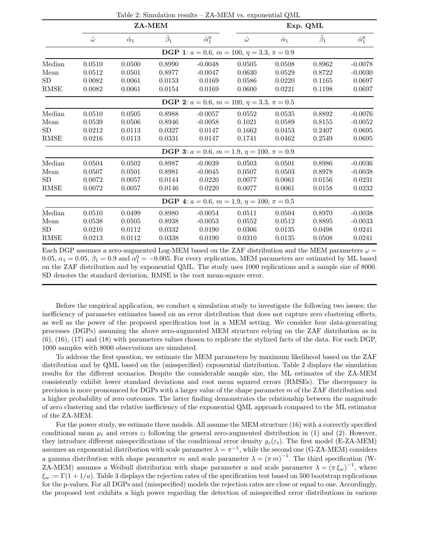|             | ZA-MEM         |                  |                 |                                                                   | Exp. QML       |                  |                 |                    |
|-------------|----------------|------------------|-----------------|-------------------------------------------------------------------|----------------|------------------|-----------------|--------------------|
|             | $\hat{\omega}$ | $\hat{\alpha}_1$ | $\hat{\beta}_1$ | $\hat{\alpha}_1^0$                                                | $\hat{\omega}$ | $\hat{\alpha}_1$ | $\hat{\beta}_1$ | $\hat{\alpha}_1^0$ |
|             |                |                  |                 | <b>DGP</b> 1: $a = 0.6$ , $m = 100$ , $\eta = 3.3$ , $\pi = 0.9$  |                |                  |                 |                    |
| Median      | 0.0510         | 0.0500           | 0.8990          | $-0.0048$                                                         | 0.0505         | 0.0508           | 0.8962          | $-0.0078$          |
| Mean        | 0.0512         | 0.0501           | 0.8977          | $-0.0047$                                                         | 0.0630         | 0.0529           | 0.8722          | $-0.0030$          |
| SD          | 0.0082         | 0.0061           | 0.0153          | 0.0169                                                            | 0.0586         | 0.0220           | 0.1165          | 0.0697             |
| <b>RMSE</b> | 0.0082         | 0.0061           | 0.0154          | 0.0169                                                            | 0.0600         | 0.0221           | 0.1198          | 0.0697             |
|             |                |                  |                 | <b>DGP</b> 2: $a = 0.6$ , $m = 100$ , $\eta = 3.3$ , $\pi = 0.5$  |                |                  |                 |                    |
| Median      | 0.0510         | 0.0505           | 0.8988          | $-0.0057$                                                         | 0.0552         | 0.0535           | 0.8892          | $-0.0076$          |
| Mean        | 0.0539         | 0.0506           | 0.8946          | $-0.0058$                                                         | 0.1021         | 0.0589           | 0.8155          | $-0.0052$          |
| SD          | 0.0212         | 0.0113           | 0.0327          | 0.0147                                                            | 0.1662         | 0.0453           | 0.2407          | 0.0695             |
| RMSE        | 0.0216         | 0.0113           | 0.0331          | 0.0147                                                            | 0.1741         | 0.0462           | 0.2549          | 0.0695             |
|             |                |                  |                 | <b>DGP 3</b> : $a = 0.6$ , $m = 1.9$ , $\eta = 100$ , $\pi = 0.9$ |                |                  |                 |                    |
| Median      | 0.0504         | 0.0502           | 0.8987          | $-0.0039$                                                         | 0.0503         | 0.0501           | 0.8986          | $-0.0036$          |
| Mean        | 0.0507         | 0.0501           | 0.8981          | $-0.0045$                                                         | 0.0507         | 0.0503           | 0.8978          | $-0.0038$          |
| SD          | 0.0072         | 0.0057           | 0.0144          | 0.0220                                                            | 0.0077         | 0.0061           | 0.0156          | 0.0231             |
| <b>RMSE</b> | 0.0072         | 0.0057           | 0.0146          | 0.0220                                                            | 0.0077         | 0.0061           | 0.0158          | 0.0232             |
|             |                |                  |                 | <b>DGP</b> 4: $a = 0.6$ , $m = 1.9$ , $\eta = 100$ , $\pi = 0.5$  |                |                  |                 |                    |
| Median      | 0.0510         | 0.0499           | 0.8980          | $-0.0054$                                                         | 0.0511         | 0.0504           | 0.8970          | $-0.0038$          |
| Mean        | 0.0538         | 0.0505           | 0.8938          | $-0.0053$                                                         | 0.0552         | 0.0512           | 0.8895          | $-0.0033$          |
| SD          | 0.0210         | 0.0112           | 0.0332          | 0.0190                                                            | 0.0306         | 0.0135           | 0.0498          | 0.0241             |
| <b>RMSE</b> | 0.0213         | 0.0112           | 0.0338          | 0.0190                                                            | 0.0310         | 0.0135           | 0.0508          | 0.0241             |

Table 2: Simulation results – ZA-MEM vs. exponential QML

Each DGP assumes a zero-augmented Log-MEM based on the ZAF distribution and the MEM parameters  $\omega =$ 0.05,  $\alpha_1 = 0.05$ ,  $\beta_1 = 0.9$  and  $\alpha_1^0 = -0.005$ . For every replication, MEM parameters are estimated by ML based on the ZAF distribution and by exponential QML. The study uses 1000 replications and a sample size of 8000. SD denotes the standard deviation, RMSE is the root mean-square error.

Before the empirical application, we conduct a simulation study to investigate the following two issues: the inefficiency of parameter estimates based on an error distribution that does not capture zero clustering effects, as well as the power of the proposed specification test in a MEM setting. We consider four data-generating processes (DGPs) assuming the above zero-augmented MEM structure relying on the ZAF distribution as in (6), (16), (17) and (18) with parameters values chosen to replicate the stylized facts of the data. For each DGP, 1000 samples with 8000 observations are simulated.

To address the first question, we estimate the MEM parameters by maximum likelihood based on the ZAF distribution and by QML based on the (misspecified) exponential distribution. Table 2 displays the simulation results for the different scenarios. Despite the considerable sample size, the ML estimates of the ZA-MEM consistently exhibit lower standard deviations and root mean squared errors (RMSEs). The discrepancy in precision is more pronounced for DGPs with a larger value of the shape parameter m of the ZAF distribution and a higher probability of zero outcomes. The latter finding demonstrates the relationship between the magnitude of zero clustering and the relative inefficiency of the exponential QML approach compared to the ML estimator of the ZA-MEM.

For the power study, we estimate three models. All assume the MEM structure (16) with a correctly specified conditional mean  $\mu_t$  and errors  $\varepsilon_t$  following the general zero-augmented distribution in (1) and (2). However, they introduce different misspecifications of the conditional error density  $g_{\varepsilon}(\varepsilon_t)$ . The first model (E-ZA-MEM) assumes an exponential distribution with scale parameter  $\lambda = \pi^{-1}$ , while the second one (G-ZA-MEM) considers a gamma distribution with shape parameter m and scale parameter  $\lambda = (\pi m)^{-1}$ . The third specification (W-ZA-MEM) assumes a Weibull distribution with shape parameter a and scale parameter  $\lambda = (\pi \xi_w)^{-1}$ , where  $\xi_w := \Gamma(1 + 1/a)$ . Table 3 displays the rejection rates of the specification test based on 500 bootstrap replications for the p-values. For all DGPs and (misspecified) models the rejection rates are close or equal to one. Accordingly, the proposed test exhibits a high power regarding the detection of misspecified error distributions in various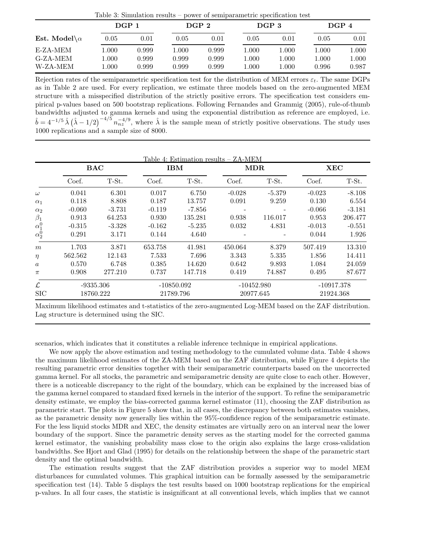|                     |       | Table 3: Simulation results – power of semiparametric specification test |                  |       |       |       |             |       |  |  |  |
|---------------------|-------|--------------------------------------------------------------------------|------------------|-------|-------|-------|-------------|-------|--|--|--|
|                     | DGP 1 |                                                                          | DGP <sub>2</sub> |       | DGP 3 |       | $\bf DGP 4$ |       |  |  |  |
| Est. Model $\alpha$ | 0.05  | 0.01                                                                     | 0.05             | 0.01  | 0.05  | 0.01  | 0.05        | 0.01  |  |  |  |
| E-ZA-MEM            | 1.000 | 0.999                                                                    | 1.000            | 0.999 | 1.000 | 1.000 | 1.000       | 1.000 |  |  |  |
| G-ZA-MEM            | 1.000 | 0.999                                                                    | 0.999            | 0.999 | 1.000 | 1.000 | 1.000       | 1.000 |  |  |  |
| W-ZA-MEM            | 1.000 | 0.999                                                                    | 0.999            | 0.999 | 1.000 | 1.000 | 0.996       | 0.987 |  |  |  |

Rejection rates of the semiparametric specification test for the distribution of MEM errors  $\varepsilon_t$ . The same DGPs as in Table 2 are used. For every replication, we estimate three models based on the zero-augmented MEM structure with a misspecified distribution of the strictly positive errors. The specification test considers empirical p-values based on 500 bootstrap replications. Following Fernandes and Grammig (2005), rule-of-thumb bandwidths adjusted to gamma kernels and using the exponential distribution as reference are employed, i.e.  $\hat{b} = 4^{-1/5} \hat{\lambda} (\hat{\lambda} - 1/2)^{-4/5} n_{nz}^{-4/9}$ , where  $\hat{\lambda}$  is the sample mean of strictly positive observations. The study uses 1000 replications and a sample size of 8000.

|                           |            |           |          | Table 4: Estimation results $-$ ZA-MEM |          |              |           |              |  |
|---------------------------|------------|-----------|----------|----------------------------------------|----------|--------------|-----------|--------------|--|
|                           | <b>BAC</b> |           |          | <b>IBM</b>                             |          | MDR          |           | XEC          |  |
|                           | Coef.      | T-St.     | Coef.    | T-St.                                  | Coef.    | T-St.        | Coef.     | T-St.        |  |
| $\omega$                  | 0.041      | 6.301     | 0.017    | 6.750                                  | $-0.028$ | $-5.379$     | $-0.023$  | $-8.108$     |  |
| $\alpha_1$                | 0.118      | 8.808     | 0.187    | 13.757                                 | 0.091    | 9.259        | 0.130     | 6.554        |  |
| $\alpha_2$                | $-0.060$   | $-3.731$  | $-0.119$ | $-7.856$                               |          |              | $-0.066$  | $-3.181$     |  |
| $\beta_1$                 | 0.913      | 64.253    | 0.930    | 135.281                                | 0.938    | 116.017      | 0.953     | 206.477      |  |
|                           | $-0.315$   | $-3.328$  | $-0.162$ | $-5.235$                               | 0.032    | 4.831        | $-0.013$  | $-0.551$     |  |
| $\alpha_1^0\\ \alpha_2^0$ | 0.291      | 3.171     | 0.144    | 4.640                                  |          |              | 0.044     | 1.926        |  |
| m                         | 1.703      | 3.871     | 653.758  | 41.981                                 | 450.064  | 8.379        | 507.419   | 13.310       |  |
| $\eta$                    | 562.562    | 12.143    | 7.533    | 7.696                                  | 3.343    | 5.335        | 1.856     | 14.411       |  |
| $\it a$                   | 0.570      | 6.748     | 0.385    | 14.620                                 | 0.642    | 9.893        | 1.084     | 24.059       |  |
| $\pi$                     | 0.908      | 277.210   | 0.737    | 147.718                                | 0.419    | 74.887       | 0.495     | 87.677       |  |
| $\mathcal{L}$             |            | -9335.306 |          | $-10850.092$                           |          | $-10452.980$ |           | $-10917.378$ |  |
| SІC                       |            | 18760.222 |          | 21789.796                              |          | 20977.645    | 21924.368 |              |  |

Maximum likelihood estimates and t-statistics of the zero-augmented Log-MEM based on the ZAF distribution. Lag structure is determined using the SIC.

scenarios, which indicates that it constitutes a reliable inference technique in empirical applications.

We now apply the above estimation and testing methodology to the cumulated volume data. Table 4 shows the maximum likelihood estimates of the ZA-MEM based on the ZAF distribution, while Figure 4 depicts the resulting parametric error densities together with their semiparametric counterparts based on the uncorrected gamma kernel. For all stocks, the parametric and semiparametric density are quite close to each other. However, there is a noticeable discrepancy to the right of the boundary, which can be explained by the increased bias of the gamma kernel compared to standard fixed kernels in the interior of the support. To refine the semiparametric density estimate, we employ the bias-corrected gamma kernel estimator (11), choosing the ZAF distribution as parametric start. The plots in Figure 5 show that, in all cases, the discrepancy between both estimates vanishes, as the parametric density now generally lies within the 95%-confidence region of the semiparametric estimate. For the less liquid stocks MDR and XEC, the density estimates are virtually zero on an interval near the lower boundary of the support. Since the parametric density serves as the starting model for the corrected gamma kernel estimator, the vanishing probability mass close to the origin also explains the large cross-validation bandwidths. See Hjort and Glad (1995) for details on the relationship between the shape of the parametric start density and the optimal bandwidth.

The estimation results suggest that the ZAF distribution provides a superior way to model MEM disturbances for cumulated volumes. This graphical intuition can be formally assessed by the semiparametric specification test (14). Table 5 displays the test results based on 1000 bootstrap replications for the empirical p-values. In all four cases, the statistic is insignificant at all conventional levels, which implies that we cannot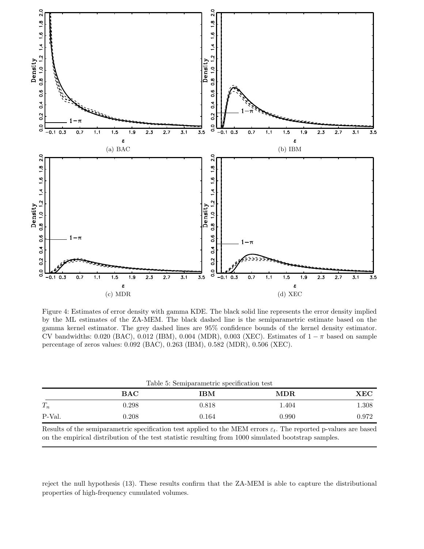

Figure 4: Estimates of error density with gamma KDE. The black solid line represents the error density implied by the ML estimates of the ZA-MEM. The black dashed line is the semiparametric estimate based on the gamma kernel estimator. The grey dashed lines are 95% confidence bounds of the kernel density estimator. CV bandwidths: 0.020 (BAC), 0.012 (IBM), 0.004 (MDR), 0.003 (XEC). Estimates of  $1 - \pi$  based on sample percentage of zeros values: 0.092 (BAC), 0.263 (IBM), 0.582 (MDR), 0.506 (XEC).

|        | Table 5: Semiparametric specification test |       |       |           |  |  |  |  |
|--------|--------------------------------------------|-------|-------|-----------|--|--|--|--|
|        | BAC                                        | IBM   | MDR   | $\rm XEC$ |  |  |  |  |
| $T_n$  | 0.298                                      | 0.818 | 1.404 | 1.308     |  |  |  |  |
| P-Val. | $0.208\,$                                  | 0.164 | 0.990 | 0.972     |  |  |  |  |

Results of the semiparametric specification test applied to the MEM errors  $\varepsilon_t$ . The reported p-values are based on the empirical distribution of the test statistic resulting from 1000 simulated bootstrap samples.

reject the null hypothesis (13). These results confirm that the ZA-MEM is able to capture the distributional properties of high-frequency cumulated volumes.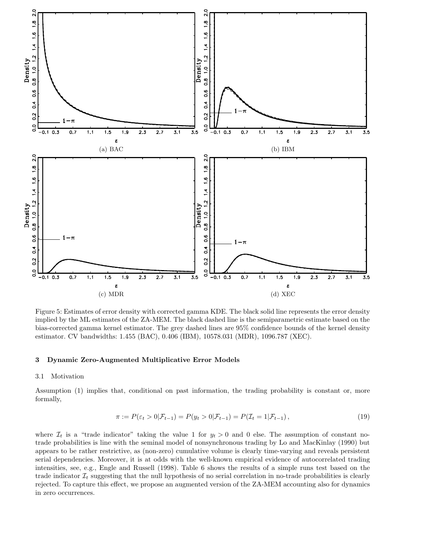

Figure 5: Estimates of error density with corrected gamma KDE. The black solid line represents the error density implied by the ML estimates of the ZA-MEM. The black dashed line is the semiparametric estimate based on the bias-corrected gamma kernel estimator. The grey dashed lines are 95% confidence bounds of the kernel density estimator. CV bandwidths: 1.455 (BAC), 0.406 (IBM), 10578.031 (MDR), 1096.787 (XEC).

# **3 Dynamic Zero-Augmented Multiplicative Error Models**

# 3.1 Motivation

Assumption (1) implies that, conditional on past information, the trading probability is constant or, more formally,

$$
\pi := P(\varepsilon_t > 0 | \mathcal{F}_{t-1}) = P(y_t > 0 | \mathcal{F}_{t-1}) = P(\mathcal{I}_t = 1 | \mathcal{F}_{t-1}), \tag{19}
$$

where  $\mathcal{I}_t$  is a "trade indicator" taking the value 1 for  $y_t > 0$  and 0 else. The assumption of constant notrade probabilities is line with the seminal model of nonsynchronous trading by Lo and MacKinlay (1990) but appears to be rather restrictive, as (non-zero) cumulative volume is clearly time-varying and reveals persistent serial dependencies. Moreover, it is at odds with the well-known empirical evidence of autocorrelated trading intensities, see, e.g., Engle and Russell (1998). Table 6 shows the results of a simple runs test based on the trade indicator  $\mathcal{I}_t$  suggesting that the null hypothesis of no serial correlation in no-trade probabilities is clearly rejected. To capture this effect, we propose an augmented version of the ZA-MEM accounting also for dynamics in zero occurrences.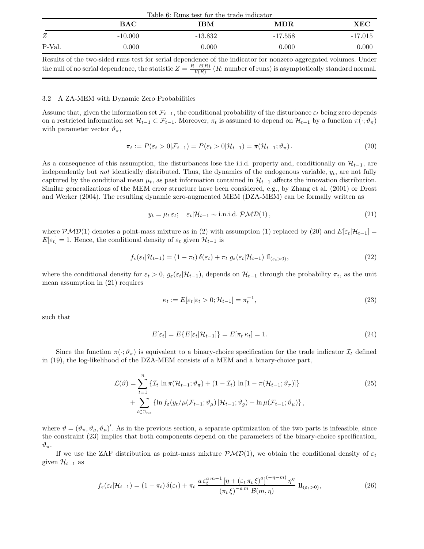|        | BAC       | Table 6: Runs test for the trade indicator<br>IBM | MDR       | $\rm XEC$ |
|--------|-----------|---------------------------------------------------|-----------|-----------|
| Ζ      | $-10.000$ | $-13.832$                                         | $-17.558$ | -17.015   |
| P-Val. | 0.000     | 0.000                                             | 0.000     | 0.000     |

Results of the two-sided runs test for serial dependence of the indicator for nonzero aggregated volumes. Under the null of no serial dependence, the statistic  $Z = \frac{R-E(R)}{V(R)}$  (R: number of runs) is asymptotically standard normal.

# 3.2 A ZA-MEM with Dynamic Zero Probabilities

Assume that, given the information set  $\mathcal{F}_{t-1}$ , the conditional probability of the disturbance  $\varepsilon_t$  being zero depends on a restricted information set  $\mathcal{H}_{t-1} \subset \mathcal{F}_{t-1}$ . Moreover,  $\pi_t$  is assumed to depend on  $\mathcal{H}_{t-1}$  by a function  $\pi(\cdot;\vartheta_{\pi})$ with parameter vector  $\vartheta_{\pi}$ ,

$$
\pi_t := P(\varepsilon_t > 0 | \mathcal{F}_{t-1}) = P(\varepsilon_t > 0 | \mathcal{H}_{t-1}) = \pi(\mathcal{H}_{t-1}; \vartheta_\pi). \tag{20}
$$

As a consequence of this assumption, the disturbances lose the i.i.d. property and, conditionally on  $\mathcal{H}_{t-1}$ , are independently but *not* identically distributed. Thus, the dynamics of the endogenous variable,  $y_t$ , are not fully captured by the conditional mean  $\mu_t$ , as past information contained in  $\mathcal{H}_{t-1}$  affects the innovation distribution. Similar generalizations of the MEM error structure have been considered, e.g., by Zhang et al. (2001) or Drost and Werker (2004). The resulting dynamic zero-augmented MEM (DZA-MEM) can be formally written as

$$
y_t = \mu_t \, \varepsilon_t; \quad \varepsilon_t | \mathcal{H}_{t-1} \sim \text{i.n.i.d.} \, \mathcal{PMD}(1) \,, \tag{21}
$$

where  $\mathcal{PMD}(1)$  denotes a point-mass mixture as in (2) with assumption (1) replaced by (20) and  $E[\varepsilon_t|\mathcal{H}_{t-1}] =$  $E[\varepsilon_t] = 1$ . Hence, the conditional density of  $\varepsilon_t$  given  $\mathcal{H}_{t-1}$  is

$$
f_{\varepsilon}(\varepsilon_t|\mathcal{H}_{t-1}) = (1 - \pi_t) \,\delta(\varepsilon_t) + \pi_t \, g_{\varepsilon}(\varepsilon_t|\mathcal{H}_{t-1}) \, \Pi_{(\varepsilon_t > 0)},\tag{22}
$$

where the conditional density for  $\varepsilon_t > 0$ ,  $g_{\varepsilon}(\varepsilon_t|\mathcal{H}_{t-1})$ , depends on  $\mathcal{H}_{t-1}$  through the probability  $\pi_t$ , as the unit mean assumption in (21) requires

$$
\kappa_t := E[\varepsilon_t | \varepsilon_t > 0; \mathcal{H}_{t-1}] = \pi_t^{-1},\tag{23}
$$

such that

$$
E[\varepsilon_t] = E\{E[\varepsilon_t|\mathcal{H}_{t-1}]\} = E[\pi_t \kappa_t] = 1.
$$
\n(24)

Since the function  $\pi(\cdot;\vartheta_{\pi})$  is equivalent to a binary-choice specification for the trade indicator  $\mathcal{I}_t$  defined in (19), the log-likelihood of the DZA-MEM consists of a MEM and a binary-choice part,

$$
\mathcal{L}(\vartheta) = \sum_{t=1}^{n} \left\{ \mathcal{I}_t \ln \pi(\mathcal{H}_{t-1}; \vartheta_{\pi}) + (1 - \mathcal{I}_t) \ln \left[ 1 - \pi(\mathcal{H}_{t-1}; \vartheta_{\pi}) \right] \right\} + \sum_{t \in \mathfrak{I}_{nz}} \left\{ \ln f_{\varepsilon}(y_t/\mu(\mathcal{F}_{t-1}; \vartheta_{\mu}) | \mathcal{H}_{t-1}; \vartheta_{g}) - \ln \mu(\mathcal{F}_{t-1}; \vartheta_{\mu}) \right\},
$$
\n(25)

where  $\vartheta = (\vartheta_{\pi}, \vartheta_{g}, \vartheta_{\mu})'$ . As in the previous section, a separate optimization of the two parts is infeasible, since the constraint (23) implies that both components depend on the parameters of the binary-choice specification,  $\vartheta_{\pi}$ .

If we use the ZAF distribution as point-mass mixture  $PMD(1)$ , we obtain the conditional density of  $\varepsilon_t$ given  $\mathcal{H}_{t-1}$  as

$$
f_{\varepsilon}(\varepsilon_t|\mathcal{H}_{t-1}) = (1 - \pi_t) \,\delta(\varepsilon_t) + \pi_t \, \frac{a \,\varepsilon_t^{a \, m-1} \left[ \eta + (\varepsilon_t \, \pi_t \, \xi)^a \right]^{(-\eta - m)} \eta^{\eta}}{\left( \pi_t \, \xi \right)^{-a \, m} \, \mathcal{B}(m, \eta)} \, \Pi_{(\varepsilon_t > 0)},\tag{26}
$$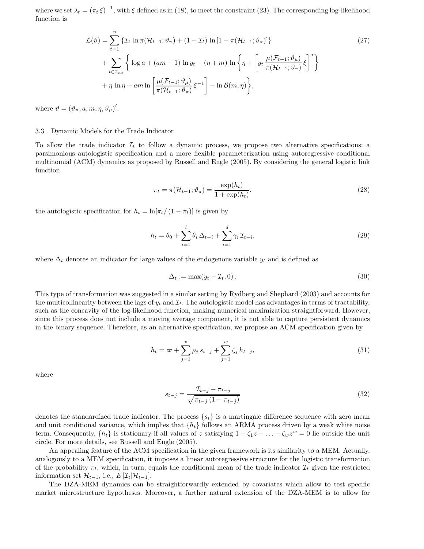where we set  $\lambda_t = (\pi_t \xi)^{-1}$ , with  $\xi$  defined as in (18), to meet the constraint (23). The corresponding log-likelihood function is

$$
\mathcal{L}(\vartheta) = \sum_{t=1}^{n} \left\{ \mathcal{I}_t \ln \pi(\mathcal{H}_{t-1}; \vartheta_\pi) + (1 - \mathcal{I}_t) \ln \left[ 1 - \pi(\mathcal{H}_{t-1}; \vartheta_\pi) \right] \right\}
$$
\n
$$
+ \sum_{t \in \mathfrak{I}_{nz}} \left\{ \log a + (am - 1) \ln y_t - (\eta + m) \ln \left\{ \eta + \left[ y_t \frac{\mu(\mathcal{F}_{t-1}; \vartheta_\mu)}{\pi(\mathcal{H}_{t-1}; \vartheta_\pi)} \xi \right]^a \right\}
$$
\n
$$
+ \eta \ln \eta - am \ln \left[ \frac{\mu(\mathcal{F}_{t-1}; \vartheta_\mu)}{\pi(\mathcal{H}_{t-1}; \vartheta_\pi)} \xi^{-1} \right] - \ln \mathcal{B}(m, \eta) \right\},
$$
\n(27)

where  $\vartheta = (\vartheta_{\pi}, a, m, \eta, \vartheta_{\mu})'$ .

#### 3.3 Dynamic Models for the Trade Indicator

To allow the trade indicator  $\mathcal{I}_t$  to follow a dynamic process, we propose two alternative specifications: a parsimonious autologistic specification and a more flexible parameterization using autoregressive conditional multinomial (ACM) dynamics as proposed by Russell and Engle (2005). By considering the general logistic link function

$$
\pi_t = \pi(\mathcal{H}_{t-1}; \vartheta_\pi) = \frac{\exp(h_t)}{1 + \exp(h_t)},\tag{28}
$$

the autologistic specification for  $h_t = \ln[\pi_t/(1-\pi_t)]$  is given by

$$
h_t = \theta_0 + \sum_{i=1}^l \theta_i \,\Delta_{t-i} + \sum_{i=1}^d \gamma_i \,\mathcal{I}_{t-i},\tag{29}
$$

where  $\Delta_t$  denotes an indicator for large values of the endogenous variable  $y_t$  and is defined as

$$
\Delta_t := \max(y_t - \mathcal{I}_t, 0). \tag{30}
$$

This type of transformation was suggested in a similar setting by Rydberg and Shephard (2003) and accounts for the multicollinearity between the lags of  $y_t$  and  $\mathcal{I}_t$ . The autologistic model has advantages in terms of tractability, such as the concavity of the log-likelihood function, making numerical maximization straightforward. However, since this process does not include a moving average component, it is not able to capture persistent dynamics in the binary sequence. Therefore, as an alternative specification, we propose an ACM specification given by

$$
h_t = \varpi + \sum_{j=1}^{v} \rho_j s_{t-j} + \sum_{j=1}^{w} \zeta_j h_{t-j},
$$
\n(31)

where

$$
s_{t-j} = \frac{\mathcal{I}_{t-j} - \pi_{t-j}}{\sqrt{\pi_{t-j} (1 - \pi_{t-j})}}\tag{32}
$$

denotes the standardized trade indicator. The process  $\{s_t\}$  is a martingale difference sequence with zero mean and unit conditional variance, which implies that  $\{h_t\}$  follows an ARMA process driven by a weak white noise term. Consequently,  $\{h_t\}$  is stationary if all values of z satisfying  $1 - \zeta_1 z - \ldots - \zeta_w z^w = 0$  lie outside the unit circle. For more details, see Russell and Engle (2005).

An appealing feature of the ACM specification in the given framework is its similarity to a MEM. Actually, analogously to a MEM specification, it imposes a linear autoregressive structure for the logistic transformation of the probability  $\pi_t$ , which, in turn, equals the conditional mean of the trade indicator  $\mathcal{I}_t$  given the restricted information set  $\mathcal{H}_{t-1}$ , i.e.,  $E[\mathcal{I}_{t}|\mathcal{H}_{t-1}].$ 

The DZA-MEM dynamics can be straightforwardly extended by covariates which allow to test specific market microstructure hypotheses. Moreover, a further natural extension of the DZA-MEM is to allow for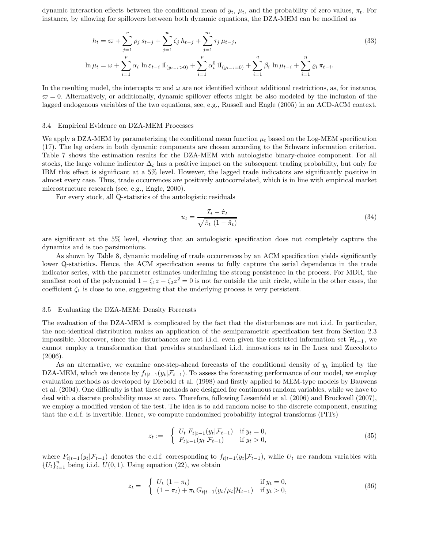dynamic interaction effects between the conditional mean of  $y_t$ ,  $\mu_t$ , and the probability of zero values,  $\pi_t$ . For instance, by allowing for spillovers between both dynamic equations, the DZA-MEM can be modified as

$$
h_{t} = \varpi + \sum_{j=1}^{v} \rho_{j} s_{t-j} + \sum_{j=1}^{w} \zeta_{j} h_{t-j} + \sum_{j=1}^{m} \tau_{j} \mu_{t-j},
$$
  
\n
$$
\ln \mu_{t} = \omega + \sum_{i=1}^{p} \alpha_{i} \ln \varepsilon_{t-i} \operatorname{II}_{(y_{t-i} > 0)} + \sum_{i=1}^{p} \alpha_{i}^{0} \operatorname{II}_{(y_{t-i} = 0)} + \sum_{i=1}^{q} \beta_{i} \ln \mu_{t-i} + \sum_{i=1}^{n} \varrho_{i} \pi_{t-i}.
$$
\n(33)

In the resulting model, the intercepts  $\varpi$  and  $\omega$  are not identified without additional restrictions, as, for instance,  $\varpi = 0$ . Alternatively, or additionally, dynamic spillover effects might be also modeled by the inclusion of the lagged endogenous variables of the two equations, see, e.g., Russell and Engle (2005) in an ACD-ACM context.

#### 3.4 Empirical Evidence on DZA-MEM Processes

We apply a DZA-MEM by parameterizing the conditional mean function  $\mu_t$  based on the Log-MEM specification (17). The lag orders in both dynamic components are chosen according to the Schwarz information criterion. Table 7 shows the estimation results for the DZA-MEM with autologistic binary-choice component. For all stocks, the large volume indicator  $\Delta_t$  has a positive impact on the subsequent trading probability, but only for IBM this effect is significant at a 5% level. However, the lagged trade indicators are significantly positive in almost every case. Thus, trade occurrences are positively autocorrelated, which is in line with empirical market microstructure research (see, e.g., Engle, 2000).

For every stock, all Q-statistics of the autologistic residuals

$$
u_t = \frac{\mathcal{I}_t - \hat{\pi}_t}{\sqrt{\hat{\pi}_t \ (1 - \hat{\pi}_t)}}
$$
(34)

are significant at the 5% level, showing that an autologistic specification does not completely capture the dynamics and is too parsimonious.

As shown by Table 8, dynamic modeling of trade occurrences by an ACM specification yields significantly lower Q-statistics. Hence, the ACM specification seems to fully capture the serial dependence in the trade indicator series, with the parameter estimates underlining the strong persistence in the process. For MDR, the smallest root of the polynomial  $1 - \zeta_1 z - \zeta_2 z^2 = 0$  is not far outside the unit circle, while in the other cases, the coefficient  $\zeta_1$  is close to one, suggesting that the underlying process is very persistent.

#### 3.5 Evaluating the DZA-MEM: Density Forecasts

The evaluation of the DZA-MEM is complicated by the fact that the disturbances are not i.i.d. In particular, the non-identical distribution makes an application of the semiparametric specification test from Section 2.3 impossible. Moreover, since the disturbances are not i.i.d. even given the restricted information set  $\mathcal{H}_{t-1}$ , we cannot employ a transformation that provides standardized i.i.d. innovations as in De Luca and Zuccolotto (2006).

As an alternative, we examine one-step-ahead forecasts of the conditional density of  $y_t$  implied by the DZA-MEM, which we denote by  $f_{t|t-1}(y_t|\mathcal{F}_{t-1})$ . To assess the forecasting performance of our model, we employ evaluation methods as developed by Diebold et al. (1998) and firstly applied to MEM-type models by Bauwens et al. (2004). One difficulty is that these methods are designed for continuous random variables, while we have to deal with a discrete probability mass at zero. Therefore, following Liesenfeld et al. (2006) and Brockwell (2007), we employ a modified version of the test. The idea is to add random noise to the discrete component, ensuring that the c.d.f. is invertible. Hence, we compute randomized probability integral transforms (PITs)

$$
z_t := \begin{cases} U_t F_{t|t-1}(y_t|\mathcal{F}_{t-1}) & \text{if } y_t = 0, \\ F_{t|t-1}(y_t|\mathcal{F}_{t-1}) & \text{if } y_t > 0, \end{cases}
$$
(35)

where  $F_{t|t-1}(y_t|\mathcal{F}_{t-1})$  denotes the c.d.f. corresponding to  $f_{t|t-1}(y_t|\mathcal{F}_{t-1})$ , while  $U_t$  are random variables with  ${U_t}_{t=1}^n$  being i.i.d.  $U(0, 1)$ . Using equation (22), we obtain

$$
z_{t} = \begin{cases} U_{t} (1 - \pi_{t}) & \text{if } y_{t} = 0, \\ (1 - \pi_{t}) + \pi_{t} G_{t|t-1}(y_{t}/\mu_{t}|\mathcal{H}_{t-1}) & \text{if } y_{t} > 0, \end{cases}
$$
(36)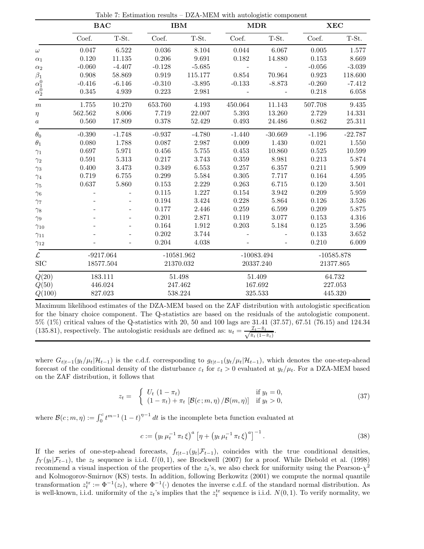|                         | <b>BAC</b>  |           |             | <b>IBM</b>   |              | <b>MDR</b> | <b>XEC</b>   |           |
|-------------------------|-------------|-----------|-------------|--------------|--------------|------------|--------------|-----------|
|                         | Coef.       | T-St.     | Coef.       | T-St.        | Coef.        | T-St.      | Coef.        | T-St.     |
| $\omega$                | 0.047       | 6.522     | $\,0.036\,$ | 8.104        | 0.044        | 6.067      | 0.005        | 1.577     |
| $\alpha_1$              | 0.120       | 11.135    | 0.206       | 9.691        | 0.182        | 14.880     | 0.153        | 8.669     |
| $\alpha_2$              | $-0.060$    | $-4.407$  | $-0.128$    | $-5.685$     |              |            | $-0.056$     | $-3.039$  |
| $\beta_1$               | 0.908       | 58.869    | 0.919       | 115.177      | $\,0.854\,$  | 70.964     | 0.923        | 118.600   |
|                         | $-0.416$    | $-6.146$  | $-0.310$    | $-3.895$     | $-0.133$     | $-8.873$   | $-0.260$     | $-7.412$  |
| $\alpha_1^0\\alpha_2^0$ | 0.345       | 4.939     | 0.223       | 2.981        |              |            | 0.218        | 6.058     |
| $\,m$                   | 1.755       | 10.270    | 653.760     | 4.193        | 450.064      | 11.143     | 507.708      | $9.435\,$ |
| $\eta$                  | 562.562     | 8.006     | 7.719       | 22.007       | 5.393        | 13.260     | 2.729        | 14.331    |
| $\boldsymbol{a}$        | 0.560       | 17.809    | 0.378       | 52.429       | 0.493        | 24.486     | 0.862        | 25.311    |
| $\theta_0$              | $-0.390$    | $-1.748$  | $-0.937$    | $-4.780$     | $-1.440$     | $-30.669$  | $-1.196$     | $-22.787$ |
| $\theta_1$              | 0.080       | 1.788     | 0.087       | 2.987        | 0.009        | 1.430      | 0.021        | 1.550     |
| $\gamma_1$              | 0.697       | 5.971     | $0.456\,$   | $5.755\,$    | 0.453        | 10.860     | 0.525        | 10.599    |
| $\gamma_2$              | 0.591       | 5.313     | 0.217       | 3.743        | $0.359\,$    | 8.981      | 0.213        | 5.874     |
| $\gamma_3$              | 0.400       | 3.473     | $0.349\,$   | 6.553        | 0.257        | 6.357      | 0.211        | 5.909     |
| $\gamma_4$              | 0.719       | 6.755     | 0.299       | 5.584        | 0.305        | 7.717      | 0.164        | 4.595     |
| $\gamma_5$              | 0.637       | $5.860\,$ | $0.153\,$   | 2.229        | 0.263        | 6.715      | $0.120\,$    | 3.501     |
| $\gamma_6$              |             |           | $0.115\,$   | 1.227        | $0.154\,$    | $3.942\,$  | 0.209        | 5.959     |
| $\gamma_7$              |             |           | $\,0.194\,$ | $3.424\,$    | 0.228        | $5.864\,$  | 0.126        | 3.526     |
| $\gamma_8$              |             |           | 0.177       | 2.446        | 0.259        | 6.599      | 0.209        | 5.875     |
| $\gamma_9$              |             |           | $0.201\,$   | 2.871        | 0.119        | $3.077\,$  | 0.153        | $4.316\,$ |
| $\gamma_{10}$           |             |           | $\,0.164\,$ | $1.912\,$    | 0.203        | 5.184      | $0.125\,$    | 3.596     |
| $\gamma_{11}$           |             |           | $0.202\,$   | 3.744        |              |            | 0.133        | 3.652     |
| $\gamma_{12}$           |             |           | 0.204       | 4.038        |              |            | 0.210        | 6.009     |
| $\mathcal{L}$           | $-9217.064$ |           |             | $-10581.962$ | $-10083.494$ |            | $-10585.878$ |           |
| <b>SIC</b>              | 18577.504   |           |             | 21370.032    | 20337.240    |            | 21377.865    |           |
| Q(20)                   | 183.111     |           |             | 51.498       | 51.409       |            | 64.732       |           |
| Q(50)                   | 446.024     |           |             | 247.462      | 167.692      |            | 227.053      |           |
| Q(100)                  | 827.023     |           |             | 538.224      | 325.533      |            | 445.320      |           |

Table 7: Estimation results – DZA-MEM with autologistic component

where  $G_{t|t-1}(y_t/\mu_t|\mathcal{H}_{t-1})$  is the c.d.f. corresponding to  $g_{t|t-1}(y_t/\mu_t|\mathcal{H}_{t-1})$ , which denotes the one-step-ahead forecast of the conditional density of the disturbance  $\varepsilon_t$  for  $\varepsilon_t > 0$  evaluated at  $y_t/\mu_t$ . For a DZA-MEM based on the ZAF distribution, it follows that

$$
z_{t} = \begin{cases} U_{t} (1 - \pi_{t}) & \text{if } y_{t} = 0, \\ (1 - \pi_{t}) + \pi_{t} \left[ \mathcal{B}(c; m, \eta) / \mathcal{B}(m, \eta) \right] & \text{if } y_{t} > 0, \end{cases}
$$
(37)

where  $\mathcal{B}(c; m, \eta) := \int_0^c t^{m-1} (1-t)^{\eta-1} dt$  is the incomplete beta function evaluated at

$$
c := (y_t \,\mu_t^{-1} \,\pi_t \,\xi)^a \left[ \eta + (y_t \,\mu_t^{-1} \,\pi_t \,\xi)^a \right]^{-1}.
$$
\n(38)

If the series of one-step-ahead forecasts,  $f_{t|t-1}(y_t|\mathcal{F}_{t-1})$ , coincides with the true conditional densities,  $f_Y(y_t|\mathcal{F}_{t-1})$ , the  $z_t$  sequence is i.i.d.  $U(0, 1)$ , see Brockwell (2007) for a proof. While Diebold et al. (1998) recommend a visual inspection of the properties of the  $z_t$ 's, we also check for uniformity using the Pearson- $\chi^2$ and Kolmogorov-Smirnov (KS) tests. In addition, following Berkowitz (2001) we compute the normal quantile transformation  $z_t^{\text{tr}} := \Phi^{-1}(z_t)$ , where  $\Phi^{-1}(\cdot)$  denotes the inverse c.d.f. of the standard normal distribution. As is well-known, i.i.d. uniformity of the  $z_t$ 's implies that the  $z_t^{\text{tr}}$  sequence is i.i.d.  $N(0, 1)$ . To verify normality, we

Maximum likelihood estimates of the DZA-MEM based on the ZAF distribution with autologistic specification for the binary choice component. The Q-statistics are based on the residuals of the autologistic component. 5% (1%) critical values of the Q-statistics with 20, 50 and 100 lags are 31.41 (37.57), 67.51 (76.15) and 124.34 (135.81), respectively. The autologistic residuals are defined as:  $u_t = \frac{\mathcal{I}_t - \hat{\pi}_t}{\sqrt{\hat{\pi}}$  $\frac{\mathcal{L}_t - \pi_t}{\hat{\pi}_t (1-\hat{\pi}_t)}.$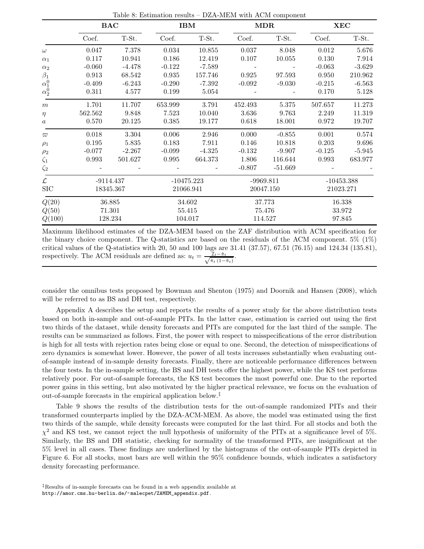|                  | <b>BAC</b> |             |          | <b>IBM</b>   |          | <b>MDR</b>  |          | <b>XEC</b>   |  |
|------------------|------------|-------------|----------|--------------|----------|-------------|----------|--------------|--|
|                  | Coef.      | T-St.       | Coef.    | T-St.        | Coef.    | T-St.       | Coef.    | T-St.        |  |
| $\omega$         | 0.047      | 7.378       | 0.034    | 10.855       | 0.037    | 8.048       | 0.012    | $5.676\,$    |  |
| $\alpha_1$       | 0.117      | 10.941      | 0.186    | 12.419       | 0.107    | 10.055      | 0.130    | 7.914        |  |
| $\alpha_2$       | $-0.060$   | $-4.478$    | $-0.122$ | $-7.589$     |          |             | $-0.063$ | $-3.629$     |  |
| $\beta_1$        | 0.913      | 68.542      | 0.935    | 157.746      | 0.925    | 97.593      | 0.950    | 210.962      |  |
| $\alpha_1^0$     | $-0.409$   | $-6.243$    | $-0.290$ | $-7.392$     | $-0.092$ | $-9.030$    | $-0.215$ | $-6.563$     |  |
| $\alpha_2^0$     | 0.311      | 4.577       | 0.199    | 5.054        |          |             | 0.170    | 5.128        |  |
| $\boldsymbol{m}$ | 1.701      | 11.707      | 653.999  | 3.791        | 452.493  | 5.375       | 507.657  | 11.273       |  |
| $\eta$           | 562.562    | 9.848       | 7.523    | 10.040       | 3.636    | 9.763       | 2.249    | 11.319       |  |
| $\boldsymbol{a}$ | 0.570      | 20.125      | 0.385    | 19.177       | 0.618    | 18.001      | 0.972    | 19.707       |  |
| $\varpi$         | 0.018      | 3.304       | 0.006    | 2.946        | 0.000    | $-0.855$    | 0.001    | 0.574        |  |
| $\rho_1$         | 0.195      | 5.835       | 0.183    | 7.911        | 0.146    | 10.818      | 0.203    | 9.696        |  |
| $\rho_2$         | $-0.077$   | $-2.267$    | $-0.099$ | $-4.325$     | $-0.132$ | $-9.907$    | $-0.125$ | $-5.945$     |  |
| $\zeta_1$        | 0.993      | 501.627     | 0.995    | 664.373      | 1.806    | 116.644     | 0.993    | 683.977      |  |
| $\zeta_2$        |            |             |          |              | $-0.807$ | $-51.669$   |          |              |  |
| $\mathcal{L}$    |            | $-9114.437$ |          | $-10475.223$ |          | $-9969.811$ |          | $-10453.388$ |  |
| $\rm SIC$        |            | 18345.367   |          | 21066.941    |          | 20047.150   |          | 21023.271    |  |
| Q(20)            |            | 36.885      |          | 34.602       |          | 37.773      |          | 16.338       |  |
| Q(50)            |            | $71.301\,$  |          | 55.415       |          | 75.476      |          | 33.972       |  |
| Q(100)           |            | 128.234     |          | 104.017      | 114.527  |             | 97.845   |              |  |

Table 8: Estimation results – DZA-MEM with ACM component

Maximum likelihood estimates of the DZA-MEM based on the ZAF distribution with ACM specification for the binary choice component. The Q-statistics are based on the residuals of the ACM component. 5% (1%) critical values of the Q-statistics with 20, 50 and 100 lags are 31.41 (37.57), 67.51 (76.15) and 124.34 (135.81), respectively. The ACM residuals are defined as:  $u_t = \mathcal{I}_t$ − $\hat{\pi}_t$  $\sqrt{\hat{\pi}_t(1-\hat{\pi}_t)}$ .

consider the omnibus tests proposed by Bowman and Shenton (1975) and Doornik and Hansen (2008), which will be referred to as BS and DH test, respectively.

Appendix A describes the setup and reports the results of a power study for the above distribution tests based on both in-sample and out-of-sample PITs. In the latter case, estimation is carried out using the first two thirds of the dataset, while density forecasts and PITs are computed for the last third of the sample. The results can be summarized as follows. First, the power with respect to misspecifications of the error distribution is high for all tests with rejection rates being close or equal to one. Second, the detection of misspecifications of zero dynamics is somewhat lower. However, the power of all tests increases substantially when evaluating outof-sample instead of in-sample density forecasts. Finally, there are noticeable performance differences between the four tests. In the in-sample setting, the BS and DH tests offer the highest power, while the KS test performs relatively poor. For out-of-sample forecasts, the KS test becomes the most powerful one. Due to the reported power gains in this setting, but also motivated by the higher practical relevance, we focus on the evaluation of out-of-sample forecasts in the empirical application below.‡

Table 9 shows the results of the distribution tests for the out-of-sample randomized PITs and their transformed counterparts implied by the DZA-ACM-MEM. As above, the model was estimated using the first two thirds of the sample, while density forecasts were computed for the last third. For all stocks and both the  $\chi^2$  and KS test, we cannot reject the null hypothesis of uniformity of the PITs at a significance level of 5%. Similarly, the BS and DH statistic, checking for normality of the transformed PITs, are insignificant at the 5% level in all cases. These findings are underlined by the histograms of the out-of-sample PITs depicted in Figure 6. For all stocks, most bars are well within the 95% confidence bounds, which indicates a satisfactory density forecasting performance.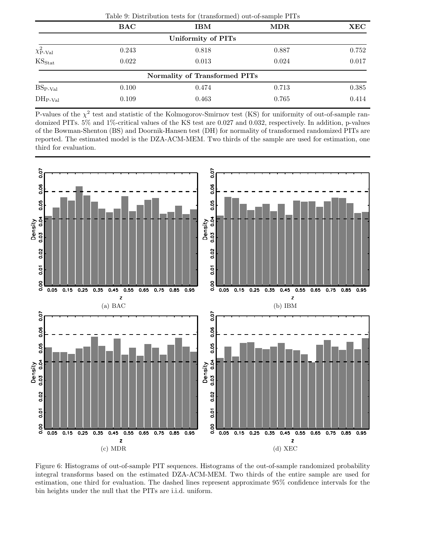|                               |            | Table 9: Distribution tests for (transformed) out-of-sample PITs |       |       |
|-------------------------------|------------|------------------------------------------------------------------|-------|-------|
|                               | <b>BAC</b> | <b>IBM</b>                                                       | MDR   | XEC   |
|                               |            | Uniformity of PITs                                               |       |       |
| $\chi^2_{\rm P-Val}$          | 0.243      | 0.818                                                            | 0.887 | 0.752 |
| $\mathrm{KS}_{\mathrm{Stat}}$ | 0.022      | 0.013                                                            | 0.024 | 0.017 |
|                               |            | Normality of Transformed PITs                                    |       |       |
| $BS_{P-Val}$                  | 0.100      | 0.474                                                            | 0.713 | 0.385 |
| $DHP-Val$                     | 0.109      | 0.463                                                            | 0.765 | 0.414 |

P-values of the  $\chi^2$  test and statistic of the Kolmogorov-Smirnov test (KS) for uniformity of out-of-sample randomized PITs. 5% and 1%-critical values of the KS test are 0.027 and 0.032, respectively. In addition, p-values of the Bowman-Shenton (BS) and Doornik-Hansen test (DH) for normality of transformed randomized PITs are reported. The estimated model is the DZA-ACM-MEM. Two thirds of the sample are used for estimation, one third for evaluation.



Figure 6: Histograms of out-of-sample PIT sequences. Histograms of the out-of-sample randomized probability integral transforms based on the estimated DZA-ACM-MEM. Two thirds of the entire sample are used for estimation, one third for evaluation. The dashed lines represent approximate 95% confidence intervals for the bin heights under the null that the PITs are i.i.d. uniform.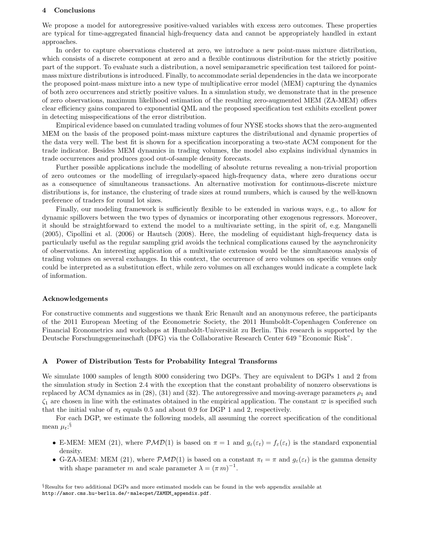#### **4 Conclusions**

We propose a model for autoregressive positive-valued variables with excess zero outcomes. These properties are typical for time-aggregated financial high-frequency data and cannot be appropriately handled in extant approaches.

In order to capture observations clustered at zero, we introduce a new point-mass mixture distribution, which consists of a discrete component at zero and a flexible continuous distribution for the strictly positive part of the support. To evaluate such a distribution, a novel semiparametric specification test tailored for pointmass mixture distributions is introduced. Finally, to accommodate serial dependencies in the data we incorporate the proposed point-mass mixture into a new type of multiplicative error model (MEM) capturing the dynamics of both zero occurrences and strictly positive values. In a simulation study, we demonstrate that in the presence of zero observations, maximum likelihood estimation of the resulting zero-augmented MEM (ZA-MEM) offers clear efficiency gains compared to exponential QML and the proposed specification test exhibits excellent power in detecting misspecifications of the error distribution.

Empirical evidence based on cumulated trading volumes of four NYSE stocks shows that the zero-augmented MEM on the basis of the proposed point-mass mixture captures the distributional and dynamic properties of the data very well. The best fit is shown for a specification incorporating a two-state ACM component for the trade indicator. Besides MEM dynamics in trading volumes, the model also explains individual dynamics in trade occurrences and produces good out-of-sample density forecasts.

Further possible applications include the modelling of absolute returns revealing a non-trivial proportion of zero outcomes or the modelling of irregularly-spaced high-frequency data, where zero durations occur as a consequence of simultaneous transactions. An alternative motivation for continuous-discrete mixture distributions is, for instance, the clustering of trade sizes at round numbers, which is caused by the well-known preference of traders for round lot sizes.

Finally, our modeling framework is sufficiently flexible to be extended in various ways, e.g., to allow for dynamic spillovers between the two types of dynamics or incorporating other exogenous regressors. Moreover, it should be straightforward to extend the model to a multivariate setting, in the spirit of, e.g. Manganelli (2005), Cipollini et al. (2006) or Hautsch (2008). Here, the modeling of equidistant high-frequency data is particularly useful as the regular sampling grid avoids the technical complications caused by the asynchronicity of observations. An interesting application of a multivariate extension would be the simultaneous analysis of trading volumes on several exchanges. In this context, the occurrence of zero volumes on specific venues only could be interpreted as a substitution effect, while zero volumes on all exchanges would indicate a complete lack of information.

# **Acknowledgements**

For constructive comments and suggestions we thank Eric Renault and an anonymous referee, the participants of the 2011 European Meeting of the Econometric Society, the 2011 Humboldt-Copenhagen Conference on Financial Econometrics and workshops at Humboldt-Universität zu Berlin. This research is supported by the Deutsche Forschungsgemeinschaft (DFG) via the Collaborative Research Center 649 "Economic Risk".

#### **A Power of Distribution Tests for Probability Integral Transforms**

We simulate 1000 samples of length 8000 considering two DGPs. They are equivalent to DGPs 1 and 2 from the simulation study in Section 2.4 with the exception that the constant probability of nonzero observations is replaced by ACM dynamics as in (28), (31) and (32). The autoregressive and moving-average parameters  $\rho_1$  and  $\zeta_1$  are chosen in line with the estimates obtained in the empirical application. The constant  $\varpi$  is specified such that the initial value of  $\pi_t$  equals 0.5 and about 0.9 for DGP 1 and 2, respectively.

For each DGP, we estimate the following models, all assuming the correct specification of the conditional mean  $\mu_t$ :<sup>§</sup>

- E-MEM: MEM (21), where  $PMD(1)$  is based on  $\pi = 1$  and  $g_{\varepsilon}(\varepsilon_t) = f_{\varepsilon}(\varepsilon_t)$  is the standard exponential density.
- G-ZA-MEM: MEM (21), where  $\mathcal{PMD}(1)$  is based on a constant  $\pi_t = \pi$  and  $g_{\varepsilon}(\varepsilon_t)$  is the gamma density with shape parameter m and scale parameter  $\lambda = (\pi m)^{-1}$ .

§Results for two additional DGPs and more estimated models can be found in the web appendix available at http://amor.cms.hu-berlin.de/~malecpet/ZAMEM\_appendix.pdf.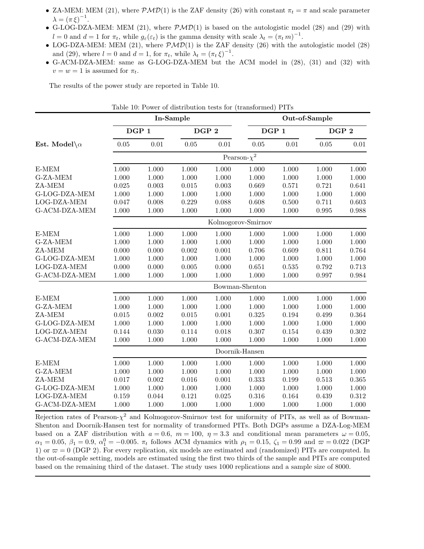- ZA-MEM: MEM (21), where  $PMD(1)$  is the ZAF density (26) with constant  $\pi_t = \pi$  and scale parameter  $\lambda = (\pi \xi)^{-1}.$
- G-LOG-DZA-MEM: MEM (21), where  $PMD(1)$  is based on the autologistic model (28) and (29) with  $l = 0$  and  $d = 1$  for  $\pi_t$ , while  $g_{\varepsilon}(\varepsilon_t)$  is the gamma density with scale  $\lambda_t = (\pi_t m)^{-1}$ .
- LOG-DZA-MEM: MEM (21), where  $PMD(1)$  is the ZAF density (26) with the autologistic model (28) and (29), where  $l = 0$  and  $d = 1$ , for  $\pi_t$ , while  $\lambda_t = (\pi_t \xi)^{-1}$ .
- G-ACM-DZA-MEM: same as G-LOG-DZA-MEM but the ACM model in (28), (31) and (32) with  $v = w = 1$  is assumed for  $\pi_t$ .

The results of the power study are reported in Table 10.

|                               |                  |           |                  |                | Table 10: Power of distribution tests for (transformed) PITs |           |                  |           |  |  |
|-------------------------------|------------------|-----------|------------------|----------------|--------------------------------------------------------------|-----------|------------------|-----------|--|--|
|                               |                  | In-Sample |                  |                | Out-of-Sample                                                |           |                  |           |  |  |
|                               | DGP <sub>1</sub> |           | DGP <sub>2</sub> |                | DGP <sub>1</sub>                                             |           | DGP <sub>2</sub> |           |  |  |
| Est. Model $\setminus \alpha$ | $0.05\,$         | 0.01      | 0.05             | $0.01\,$       | $0.05\,$                                                     | 0.01      | $0.05\,$         | 0.01      |  |  |
|                               |                  |           |                  |                | Pearson- $\chi^2$                                            |           |                  |           |  |  |
| E-MEM                         | $1.000\,$        | 1.000     | $1.000\,$        | $1.000\,$      | $1.000\,$                                                    | $1.000\,$ | 1.000            | 1.000     |  |  |
| G-ZA-MEM                      | $1.000\,$        | 1.000     | $1.000\,$        | 1.000          | 1.000                                                        | $1.000\,$ | 1.000            | $1.000\,$ |  |  |
| ZA-MEM                        | 0.025            | 0.003     | 0.015            | 0.003          | 0.669                                                        | 0.571     | 0.721            | 0.641     |  |  |
| G-LOG-DZA-MEM                 | $1.000\,$        | 1.000     | 1.000            | 1.000          | 1.000                                                        | 1.000     | 1.000            | $1.000\,$ |  |  |
| LOG-DZA-MEM                   | 0.047            | 0.008     | 0.229            | 0.088          | 0.608                                                        | 0.500     | 0.711            | 0.603     |  |  |
| G-ACM-DZA-MEM                 | 1.000            | 1.000     | 1.000            | 1.000          | 1.000                                                        | 1.000     | 0.995            | 0.988     |  |  |
|                               |                  |           |                  |                | Kolmogorov-Smirnov                                           |           |                  |           |  |  |
| E-MEM                         | 1.000            | 1.000     | 1.000            | 1.000          | 1.000                                                        | 1.000     | 1.000            | 1.000     |  |  |
| G-ZA-MEM                      | 1.000            | 1.000     | 1.000            | 1.000          | 1.000                                                        | 1.000     | 1.000            | $1.000\,$ |  |  |
| ZA-MEM                        | 0.000            | 0.000     | 0.002            | 0.001          | 0.706                                                        | 0.609     | 0.811            | 0.764     |  |  |
| G-LOG-DZA-MEM                 | 1.000            | 1.000     | 1.000            | 1.000          | 1.000                                                        | 1.000     | 1.000            | 1.000     |  |  |
| LOG-DZA-MEM                   | 0.000            | 0.000     | $0.005\,$        | 0.000          | 0.651                                                        | 0.535     | 0.792            | 0.713     |  |  |
| G-ACM-DZA-MEM                 | $1.000\,$        | 1.000     | 1.000            | 1.000          | 1.000                                                        | 1.000     | 0.997            | 0.984     |  |  |
|                               | Bowman-Shenton   |           |                  |                |                                                              |           |                  |           |  |  |
| E-MEM                         | 1.000            | 1.000     | 1.000            | 1.000          | 1.000                                                        | 1.000     | 1.000            | 1.000     |  |  |
| G-ZA-MEM                      | $1.000\,$        | 1.000     | $1.000\,$        | 1.000          | $1.000\,$                                                    | $1.000\,$ | 1.000            | $1.000\,$ |  |  |
| ZA-MEM                        | 0.015            | 0.002     | 0.015            | 0.001          | 0.325                                                        | 0.194     | 0.499            | 0.364     |  |  |
| G-LOG-DZA-MEM                 | $1.000\,$        | 1.000     | 1.000            | 1.000          | 1.000                                                        | 1.000     | 1.000            | 1.000     |  |  |
| LOG-DZA-MEM                   | 0.144            | 0.030     | 0.114            | 0.018          | 0.307                                                        | 0.154     | 0.439            | $0.302\,$ |  |  |
| G-ACM-DZA-MEM                 | 1.000            | 1.000     | 1.000            | 1.000          | 1.000                                                        | 1.000     | 1.000            | $1.000\,$ |  |  |
|                               |                  |           |                  | Doornik-Hansen |                                                              |           |                  |           |  |  |
| E-MEM                         | $1.000\,$        | 1.000     | 1.000            | 1.000          | 1.000                                                        | $1.000\,$ | 1.000            | 1.000     |  |  |
| G-ZA-MEM                      | 1.000            | 1.000     | 1.000            | 1.000          | $1.000\,$                                                    | 1.000     | 1.000            | 1.000     |  |  |
| ZA-MEM                        | 0.017            | 0.002     | 0.016            | 0.001          | 0.333                                                        | 0.199     | 0.513            | 0.365     |  |  |
| G-LOG-DZA-MEM                 | 1.000            | 1.000     | 1.000            | 1.000          | 1.000                                                        | 1.000     | 1.000            | 1.000     |  |  |
| LOG-DZA-MEM                   | 0.159            | 0.044     | 0.121            | 0.025          | 0.316                                                        | 0.164     | 0.439            | 0.312     |  |  |
| G-ACM-DZA-MEM                 | $1.000\,$        | 1.000     | 1.000            | 1.000          | 1.000                                                        | 1.000     | 1.000            | $1.000\,$ |  |  |

Rejection rates of Pearson- $\chi^2$  and Kolmogorov-Smirnov test for uniformity of PITs, as well as of Bowman-Shenton and Doornik-Hansen test for normality of transformed PITs. Both DGPs assume a DZA-Log-MEM based on a ZAF distribution with  $a = 0.6$ ,  $m = 100$ ,  $\eta = 3.3$  and conditional mean parameters  $\omega = 0.05$ ,  $\alpha_1 = 0.05, \beta_1 = 0.9, \alpha_1^0 = -0.005. \pi_t$  follows ACM dynamics with  $\rho_1 = 0.15, \zeta_1 = 0.99$  and  $\varpi = 0.022$  (DGP 1) or  $\pi = 0$  (DGP 2). For every replication, six models are estimated and (randomized) PITs are computed. In the out-of-sample setting, models are estimated using the first two thirds of the sample and PITs are computed based on the remaining third of the dataset. The study uses 1000 replications and a sample size of 8000.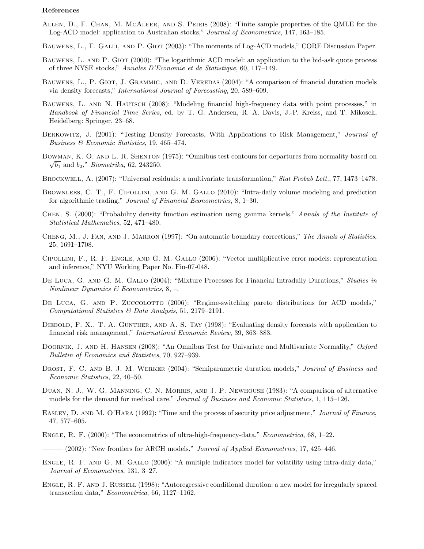# **References**

- Allen, D., F. Chan, M. McAleer, and S. Peiris (2008): "Finite sample properties of the QMLE for the Log-ACD model: application to Australian stocks," *Journal of Econometrics*, 147, 163–185.
- Bauwens, L., F. Galli, and P. Giot (2003): "The moments of Log-ACD models," CORE Discussion Paper.
- Bauwens, L. and P. Giot (2000): "The logarithmic ACD model: an application to the bid-ask quote process of three NYSE stocks," *Annales D'Economie et de Statistique*, 60, 117–149.
- BAUWENS, L., P. GIOT, J. GRAMMIG, AND D. VEREDAS (2004): "A comparison of financial duration models via density forecasts," *International Journal of Forecasting*, 20, 589–609.
- BAUWENS, L. AND N. HAUTSCH (2008): "Modeling financial high-frequency data with point processes," in *Handbook of Financial Time Series*, ed. by T. G. Andersen, R. A. Davis, J.-P. Kreiss, and T. Mikosch, Heidelberg: Springer, 23–68.
- Berkowitz, J. (2001): "Testing Density Forecasts, With Applications to Risk Management," *Journal of Business & Economic Statistics*, 19, 465–474.
- BOWMAN, K. O. AND L. R. SHENTON (1975): "Omnibus test contours for departures from normality based on  $\sqrt{b_1}$  and  $b_2$ ," *Biometrika*, 62, 243250.
- Brockwell, A. (2007): "Universal residuals: a multivariate transformation," *Stat Probab Lett.*, 77, 1473–1478.
- Brownlees, C. T., F. Cipollini, and G. M. Gallo (2010): "Intra-daily volume modeling and prediction for algorithmic trading," *Journal of Financial Econometrics*, 8, 1–30.
- Chen, S. (2000): "Probability density function estimation using gamma kernels," *Annals of the Institute of Statistical Mathematics*, 52, 471–480.
- Cheng, M., J. Fan, and J. Marron (1997): "On automatic boundary corrections," *The Annals of Statistics*, 25, 1691–1708.
- Cipollini, F., R. F. Engle, and G. M. Gallo (2006): "Vector multiplicative error models: representation and inference," NYU Working Paper No. Fin-07-048.
- De Luca, G. and G. M. Gallo (2004): "Mixture Processes for Financial Intradaily Durations," *Studies in Nonlinear Dynamics & Econometrics*, 8, –.
- DE LUCA, G. AND P. ZUCCOLOTTO (2006): "Regime-switching pareto distributions for ACD models," *Computational Statistics & Data Analysis*, 51, 2179–2191.
- DIEBOLD, F. X., T. A. GUNTHER, AND A. S. TAY (1998): "Evaluating density forecasts with application to financial risk management," *International Economic Review*, 39, 863–883.
- Doornik, J. and H. Hansen (2008): "An Omnibus Test for Univariate and Multivariate Normality," *Oxford Bulletin of Economics and Statistics*, 70, 927–939.
- Drost, F. C. and B. J. M. Werker (2004): "Semiparametric duration models," *Journal of Business and Economic Statistics*, 22, 40–50.
- Duan, N. J., W. G. Manning, C. N. Morris, and J. P. Newhouse (1983): "A comparison of alternative models for the demand for medical care," *Journal of Business and Economic Statistics*, 1, 115–126.
- Easley, D. and M. O'Hara (1992): "Time and the process of security price adjustment," *Journal of Finance*, 47, 577–605.
- Engle, R. F. (2000): "The econometrics of ultra-high-frequency-data," *Econometrica*, 68, 1–22.
- ——— (2002): "New frontiers for ARCH models," *Journal of Applied Econometrics*, 17, 425–446.
- ENGLE, R. F. AND G. M. GALLO (2006): "A multiple indicators model for volatility using intra-daily data," *Journal of Econometrics*, 131, 3–27.
- ENGLE, R. F. AND J. RUSSELL (1998): "Autoregressive conditional duration: a new model for irregularly spaced transaction data," *Econometrica*, 66, 1127–1162.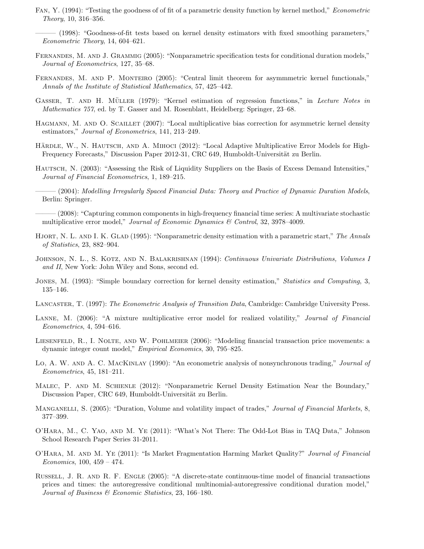Fan, Y. (1994): "Testing the goodness of of fit of a parametric density function by kernel method," *Econometric Theory*, 10, 316–356.

——— (1998): "Goodness-of-fit tests based on kernel density estimators with fixed smoothing parameters," *Econometric Theory*, 14, 604–621.

- FERNANDES, M. AND J. GRAMMIG (2005): "Nonparametric specification tests for conditional duration models," *Journal of Econometrics*, 127, 35–68.
- FERNANDES, M. AND P. MONTEIRO (2005): "Central limit theorem for asymmmetric kernel functionals," *Annals of the Institute of Statistical Mathematics*, 57, 425–442.
- GASSER, T. AND H. MÜLLER (1979): "Kernel estimation of regression functions," in *Lecture Notes in Mathematics 757*, ed. by T. Gasser and M. Rosenblatt, Heidelberg: Springer, 23–68.
- HAGMANN, M. AND O. SCAILLET (2007): "Local multiplicative bias correction for asymmetric kernel density estimators," *Journal of Econometrics*, 141, 213–249.
- HÄRDLE, W., N. HAUTSCH, AND A. MIHOCI (2012): "Local Adaptive Multiplicative Error Models for High-Frequency Forecasts," Discussion Paper 2012-31, CRC 649, Humboldt-Universität zu Berlin.
- HAUTSCH, N. (2003): "Assessing the Risk of Liquidity Suppliers on the Basis of Excess Demand Intensities," *Journal of Financial Econometrics*, 1, 189–215.
	- ——— (2004): *Modelling Irregularly Spaced Financial Data: Theory and Practice of Dynamic Duration Models*, Berlin: Springer.
	- ——— (2008): "Capturing common components in high-frequency financial time series: A multivariate stochastic multiplicative error model," *Journal of Economic Dynamics & Control*, 32, 3978–4009.
- HJORT, N. L. AND I. K. GLAD (1995): "Nonparametric density estimation with a parametric start," *The Annals of Statistics*, 23, 882–904.
- Johnson, N. L., S. Kotz, and N. Balakrishnan (1994): *Continuous Univariate Distributions, Volumes I and II*, New York: John Wiley and Sons, second ed.
- Jones, M. (1993): "Simple boundary correction for kernel density estimation," *Statistics and Computing*, 3, 135–146.
- Lancaster, T. (1997): *The Econometric Analysis of Transition Data*, Cambridge: Cambridge University Press.
- Lanne, M. (2006): "A mixture multiplicative error model for realized volatility," *Journal of Financial Econometrics*, 4, 594–616.
- Liesenfeld, R., I. Nolte, and W. Pohlmeier (2006): "Modeling financial transaction price movements: a dynamic integer count model," *Empirical Economics*, 30, 795–825.
- Lo, A. W. and A. C. MacKinlay (1990): "An econometric analysis of nonsynchronous trading," *Journal of Econometrics*, 45, 181–211.
- MALEC, P. AND M. SCHIENLE (2012): "Nonparametric Kernel Density Estimation Near the Boundary," Discussion Paper, CRC 649, Humboldt-Universität zu Berlin.
- Manganelli, S. (2005): "Duration, Volume and volatility impact of trades," *Journal of Financial Markets*, 8, 377–399.
- O'Hara, M., C. Yao, and M. Ye (2011): "What's Not There: The Odd-Lot Bias in TAQ Data," Johnson School Research Paper Series 31-2011.
- O'Hara, M. and M. Ye (2011): "Is Market Fragmentation Harming Market Quality?" *Journal of Financial Economics*, 100, 459 – 474.
- Russell, J. R. and R. F. Engle (2005): "A discrete-state continuous-time model of financial transactions prices and times: the autoregressive conditional multinomial-autoregressive conditional duration model," *Journal of Business & Economic Statistics*, 23, 166–180.